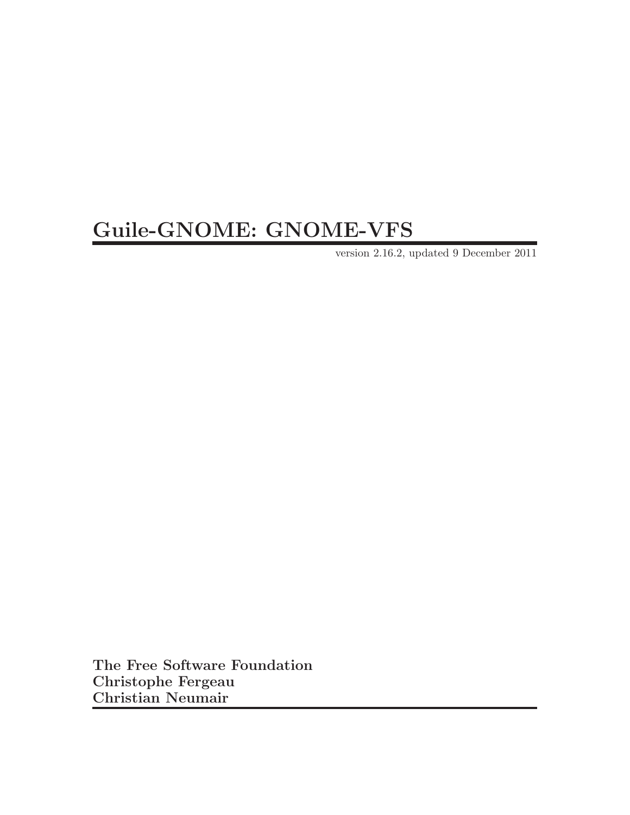# Guile-GNOME: GNOME-VFS

version 2.16.2, updated 9 December 2011

The Free Software Foundation Christophe Fergeau Christian Neumair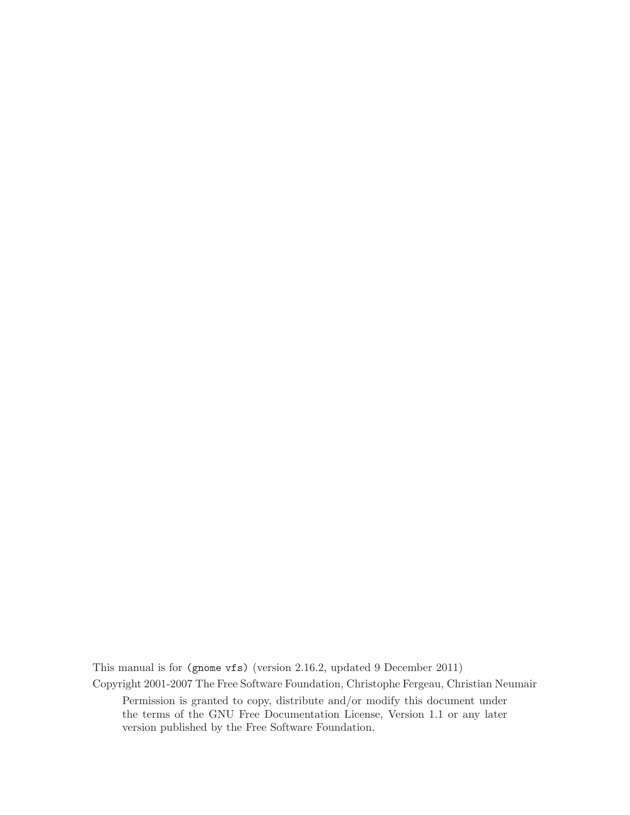This manual is for (gnome vfs) (version 2.16.2, updated 9 December 2011) Copyright 2001-2007 The Free Software Foundation, Christophe Fergeau, Christian Neumair Permission is granted to copy, distribute and/or modify this document under the terms of the GNU Free Documentation License, Version 1.1 or any later version published by the Free Software Foundation.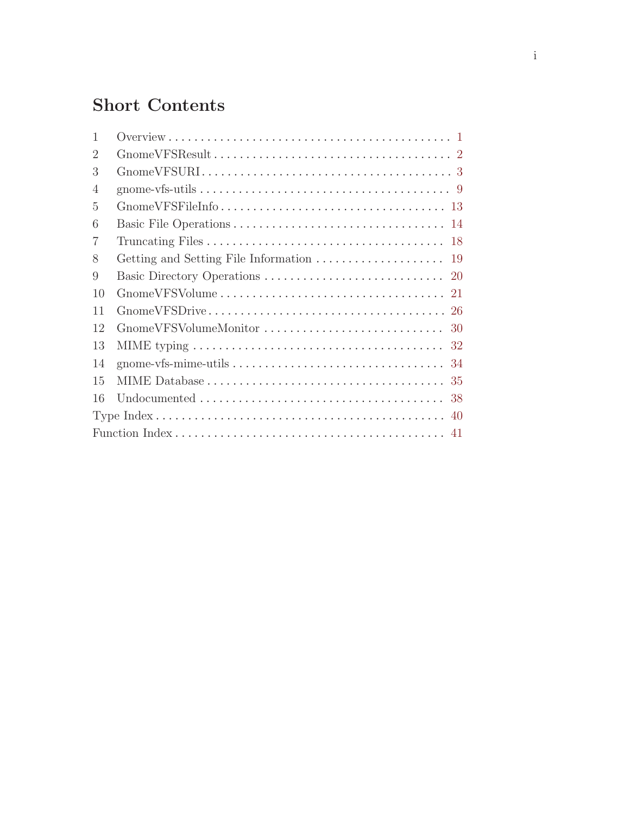# Short Contents

| $\mathbf{1}$   |                                                                                                              |
|----------------|--------------------------------------------------------------------------------------------------------------|
| $\overline{2}$ |                                                                                                              |
| 3              |                                                                                                              |
| $\overline{4}$ |                                                                                                              |
| $\overline{5}$ |                                                                                                              |
| 6              |                                                                                                              |
| $\overline{7}$ |                                                                                                              |
| 8              |                                                                                                              |
| 9              |                                                                                                              |
| 10             |                                                                                                              |
| 11             |                                                                                                              |
| 12             |                                                                                                              |
| 13             | MIME typing $\ldots \ldots \ldots \ldots \ldots \ldots \ldots \ldots \ldots \ldots \ldots \ldots \ldots 32$  |
| 14             |                                                                                                              |
| 15             |                                                                                                              |
| 16             | Undocumented $\ldots \ldots \ldots \ldots \ldots \ldots \ldots \ldots \ldots \ldots \ldots \ldots \ldots$ 38 |
|                |                                                                                                              |
|                |                                                                                                              |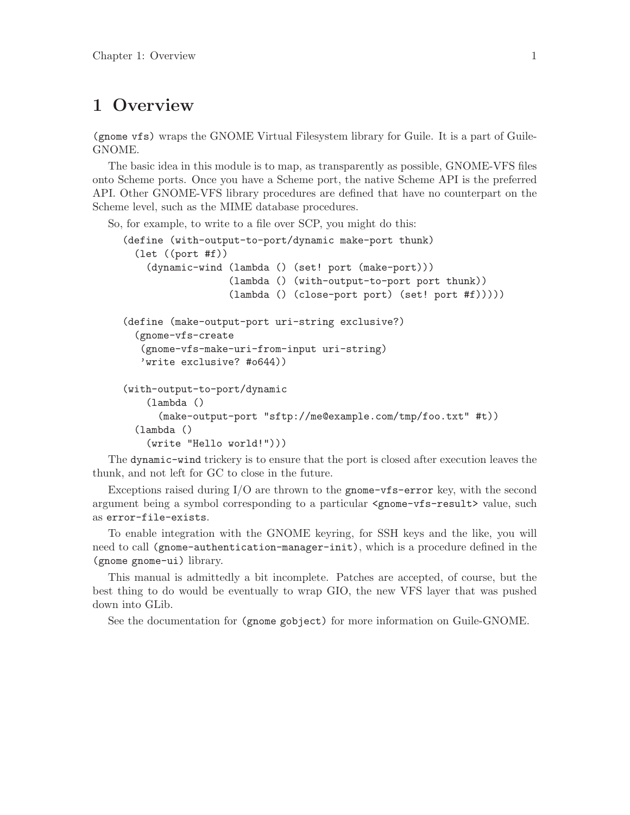## <span id="page-3-0"></span>1 Overview

(gnome vfs) wraps the GNOME Virtual Filesystem library for Guile. It is a part of Guile-GNOME.

The basic idea in this module is to map, as transparently as possible, GNOME-VFS files onto Scheme ports. Once you have a Scheme port, the native Scheme API is the preferred API. Other GNOME-VFS library procedures are defined that have no counterpart on the Scheme level, such as the MIME database procedures.

So, for example, to write to a file over SCP, you might do this:

```
(define (with-output-to-port/dynamic make-port thunk)
  (let ((port #f))
    (dynamic-wind (lambda () (set! port (make-port)))
                  (lambda () (with-output-to-port port thunk))
                  (lambda () (close-port port) (set! port #f)))))
(define (make-output-port uri-string exclusive?)
  (gnome-vfs-create
  (gnome-vfs-make-uri-from-input uri-string)
  'write exclusive? #o644))
(with-output-to-port/dynamic
    (lambda ()
     (make-output-port "sftp://me@example.com/tmp/foo.txt" #t))
  (lambda ()
    (write "Hello world!")))
```
The dynamic-wind trickery is to ensure that the port is closed after execution leaves the thunk, and not left for GC to close in the future.

Exceptions raised during I/O are thrown to the gnome-vfs-error key, with the second argument being a symbol corresponding to a particular <gnome-vfs-result> value, such as error-file-exists.

To enable integration with the GNOME keyring, for SSH keys and the like, you will need to call (gnome-authentication-manager-init), which is a procedure defined in the (gnome gnome-ui) library.

This manual is admittedly a bit incomplete. Patches are accepted, of course, but the best thing to do would be eventually to wrap GIO, the new VFS layer that was pushed down into GLib.

See the documentation for (gnome gobject) for more information on Guile-GNOME.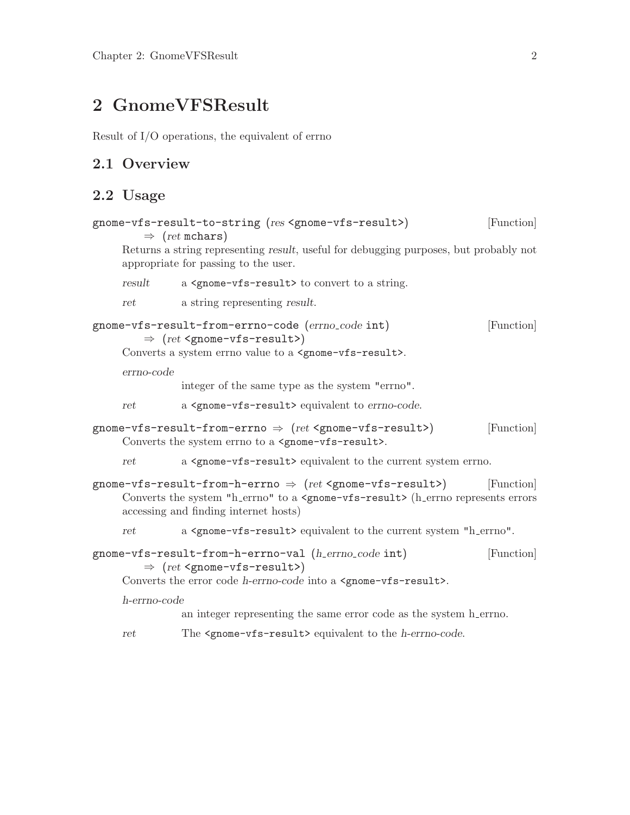# <span id="page-4-0"></span>2 GnomeVFSResult

Result of I/O operations, the equivalent of errno

## 2.1 Overview

## 2.2 Usage

| gnome-vfs-result-to-string (res <gnome-vfs-result>)<br/>[Function]<br/><math>\Rightarrow</math> (ret mchars)</gnome-vfs-result> |              |                                                                                                                                                                                                                                           |            |  |
|---------------------------------------------------------------------------------------------------------------------------------|--------------|-------------------------------------------------------------------------------------------------------------------------------------------------------------------------------------------------------------------------------------------|------------|--|
|                                                                                                                                 |              | Returns a string representing result, useful for debugging purposes, but probably not<br>appropriate for passing to the user.                                                                                                             |            |  |
|                                                                                                                                 | result       | a <gnome-vfs-result> to convert to a string.</gnome-vfs-result>                                                                                                                                                                           |            |  |
|                                                                                                                                 | ret          | a string representing result.                                                                                                                                                                                                             |            |  |
|                                                                                                                                 |              | gnome-vfs-result-from-errno-code (errno_code int)<br>$\Rightarrow$ (ret <gnome-vfs-result>)<br/>Converts a system errno value to a <gnome-vfs-result>.</gnome-vfs-result></gnome-vfs-result>                                              | [Function] |  |
|                                                                                                                                 | errno-code   |                                                                                                                                                                                                                                           |            |  |
|                                                                                                                                 |              | integer of the same type as the system "errno".                                                                                                                                                                                           |            |  |
|                                                                                                                                 | ret          | a <gnome-vfs-result> equivalent to errno-code.</gnome-vfs-result>                                                                                                                                                                         |            |  |
|                                                                                                                                 |              | gnome-vfs-result-from-errno $\Rightarrow$ (ret <gnome-vfs-result>)<br/>Converts the system errno to a <gnome-vfs-result>.</gnome-vfs-result></gnome-vfs-result>                                                                           | [Function] |  |
|                                                                                                                                 | ret          | a <gnome-vfs-result> equivalent to the current system errno.</gnome-vfs-result>                                                                                                                                                           |            |  |
|                                                                                                                                 |              | gnome-vfs-result-from-h-errno $\Rightarrow$ (ret <gnome-vfs-result>)<br/>Converts the system "h_errno" to a <gnome-vfs-result> (h_errno represents errors<br/>accessing and finding internet hosts)</gnome-vfs-result></gnome-vfs-result> | [Function] |  |
|                                                                                                                                 | ret          | a <gnome-vfs-result> equivalent to the current system "h_errno".</gnome-vfs-result>                                                                                                                                                       |            |  |
|                                                                                                                                 |              | gnome-vfs-result-from-h-errno-val (h_errno_code int)<br>$\Rightarrow$ (ret <gnome-vfs-result>)<br/>Converts the error code h-errno-code into a <gnome-vfs-result>.</gnome-vfs-result></gnome-vfs-result>                                  | [Function] |  |
|                                                                                                                                 | h-errno-code |                                                                                                                                                                                                                                           |            |  |
|                                                                                                                                 |              | an integer representing the same error code as the system h_errno.                                                                                                                                                                        |            |  |
|                                                                                                                                 | ret          | The <gnome-vfs-result> equivalent to the h-errno-code.</gnome-vfs-result>                                                                                                                                                                 |            |  |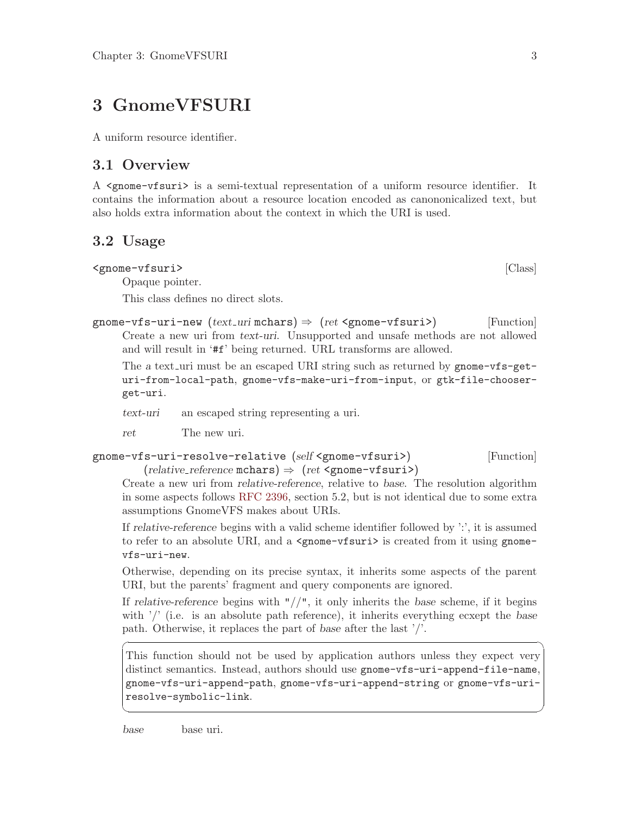## <span id="page-5-0"></span>3 GnomeVFSURI

A uniform resource identifier.

## 3.1 Overview

A <gnome-vfsuri> is a semi-textual representation of a uniform resource identifier. It contains the information about a resource location encoded as canononicalized text, but also holds extra information about the context in which the URI is used.

## 3.2 Usage

<gnome-vfsuri> [Class]

Opaque pointer.

This class defines no direct slots.

gnome-vfs-uri-new  $(text\_uri \text{ mchars}) \Rightarrow (ret < \text{gnome-vfsuri})$  [Function] Create a new uri from text-uri. Unsupported and unsafe methods are not allowed and will result in '#f' being returned. URL transforms are allowed.

The a text uri must be an escaped URI string such as returned by gnome-vfs-geturi-from-local-path, gnome-vfs-make-uri-from-input, or gtk-file-chooserget-uri.

text-uri an escaped string representing a uri.

ret The new uri.

```
gnome-vfs-uri-resolve-relative (self <gnome-vfsuri>) [Function]
         (relative\_reference \text{ mchars}) \Rightarrow (ret \text{ 'gnome 'vfsuri'})
```
Create a new uri from relative-reference, relative to base. The resolution algorithm in some aspects follows [RFC 2396,](http://www.ietf.org/rfc/rfc2396.txt) section 5.2, but is not identical due to some extra assumptions GnomeVFS makes about URIs.

If relative-reference begins with a valid scheme identifier followed by ':', it is assumed to refer to an absolute URI, and a  $\leq$ gnome-vfsuri> is created from it using gnomevfs-uri-new.

Otherwise, depending on its precise syntax, it inherits some aspects of the parent URI, but the parents' fragment and query components are ignored.

If relative-reference begins with " $//$ ", it only inherits the base scheme, if it begins with  $\prime$  (i.e. is an absolute path reference), it inherits everything ecxept the base path. Otherwise, it replaces the part of base after the last '/'.

This function should not be used by application authors unless they expect very distinct semantics. Instead, authors should use gnome-vfs-uri-append-file-name, gnome-vfs-uri-append-path, gnome-vfs-uri-append-string or gnome-vfs-uriresolve-symbolic-link.

✡ ✠

 $\sqrt{1 - \frac{1}{2}}$ 

base base uri.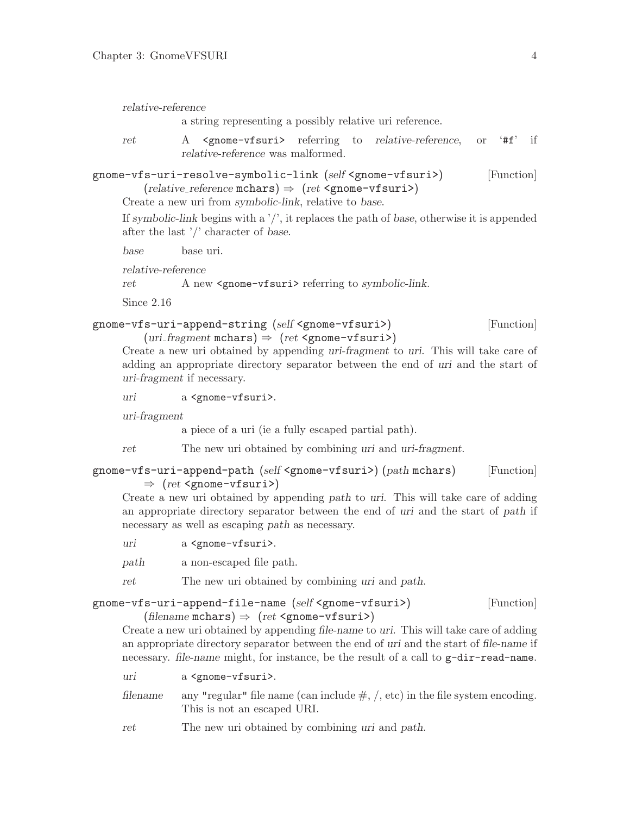### <span id="page-6-0"></span>relative-reference

a string representing a possibly relative uri reference.

ret A <gnome-vfsuri> referring to relative-reference, or '#f' if relative-reference was malformed.

gnome-vfs-uri-resolve-symbolic-link (self <gnome-vfsuri>) [Function]  $(relative\_reference \text{ mchars}) \Rightarrow (ret \text{ 'gnome - vfsuri'})$ 

Create a new uri from symbolic-link, relative to base.

If symbolic-link begins with a  $\gamma$ , it replaces the path of base, otherwise it is appended after the last '/' character of base.

base base uri.

relative-reference

ret A new <gnome-vfsuri> referring to symbolic-link.

Since 2.16

## gnome-vfs-uri-append-string (self <gnome-vfsuri>) [Function]

 $(uri\_fragment \text{ mchars}) \Rightarrow (ret \text{ 'gnone-vfsuri'})$ 

Create a new uri obtained by appending uri-fragment to uri. This will take care of adding an appropriate directory separator between the end of uri and the start of uri-fragment if necessary.

uri a <gnome-vfsuri>.

uri-fragment

a piece of a uri (ie a fully escaped partial path).

ret The new uri obtained by combining uri and uri-fragment.

```
gnome-vfs-uri-append-path (self <gnome-vfsuri>) (path mchars) [Function]
         \Rightarrow (ret <gnome-vfsuri>)
```
Create a new uri obtained by appending path to uri. This will take care of adding an appropriate directory separator between the end of uri and the start of path if necessary as well as escaping path as necessary.

uri a <gnome-vfsuri>.

path a non-escaped file path.

ret The new uri obtained by combining uri and path.

gnome-vfs-uri-append-file-name (self <gnome-vfsuri>) [Function]

(filename mchars)  $\Rightarrow$  (ret <gnome-vfsuri>)

Create a new uri obtained by appending file-name to uri. This will take care of adding an appropriate directory separator between the end of uri and the start of file-name if necessary. file-name might, for instance, be the result of a call to  $g$ -dir-read-name.

uri a <gnome-vfsuri>.

filename any "regular" file name (can include  $\#$ ,  $\ell$ , etc) in the file system encoding. This is not an escaped URI.

ret The new uri obtained by combining uri and path.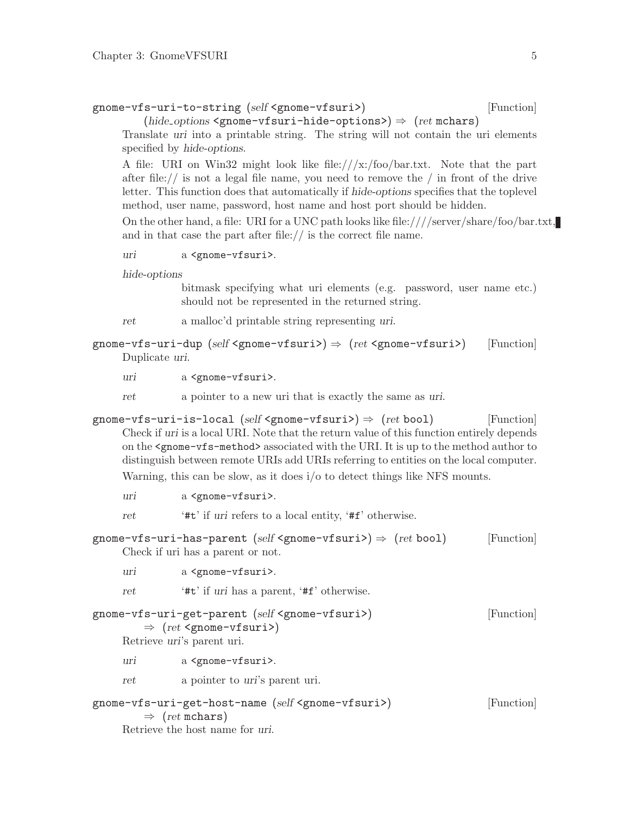```
gnome-vfs-uri-to-string (self <gnome-vfsuri>) [Function]
```
 $(hide\_{options} \leq \text{mom} \leq \text{if} \leq \text{if} \leq \text{if} \leq \text{if} \leq \text{if} \leq \text{if} \leq \text{if} \leq \text{if} \leq \text{if} \leq \text{if} \leq \text{if} \leq \text{if} \leq \text{if} \leq \text{if} \leq \text{if} \leq \text{if} \leq \text{if} \leq \text{if} \leq \text{if} \leq \text{if} \leq \text{if} \leq \text{if} \leq \text{if} \leq \text{if} \leq \text{if} \leq \text{$ 

Translate uri into a printable string. The string will not contain the uri elements specified by hide-options.

A file: URI on Win32 might look like file:///x:/foo/bar.txt. Note that the part after file:// is not a legal file name, you need to remove the  $/$  in front of the drive letter. This function does that automatically if hide-options specifies that the toplevel method, user name, password, host name and host port should be hidden.

On the other hand, a file: URI for a UNC path looks like file:////server/share/foo/bar.txt, and in that case the part after file:// is the correct file name.

uri a <gnome-vfsuri>.

hide-options

bitmask specifying what uri elements (e.g. password, user name etc.) should not be represented in the returned string.

- ret a malloc'd printable string representing uri.
- gnome-vfs-uri-dup (self  $\langle$ gnome-vfsuri>)  $\Rightarrow$  (ret  $\langle$ gnome-vfsuri>) [Function] Duplicate uri.
	- uri a <gnome-vfsuri>.

ret a pointer to a new uri that is exactly the same as uri.

gnome-vfs-uri-is-local (self <gnome-vfsuri>)  $\Rightarrow$  (ret bool) [Function] Check if uri is a local URI. Note that the return value of this function entirely depends on the <gnome-vfs-method> associated with the URI. It is up to the method author to distinguish between remote URIs add URIs referring to entities on the local computer. Warning, this can be slow, as it does i/o to detect things like NFS mounts.

uri a <gnome-vfsuri>.

ret '#t' if uri refers to a local entity, '#f' otherwise.

- gnome-vfs-uri-has-parent (self <gnome-vfsuri>)  $\Rightarrow$  (ret bool) [Function] Check if uri has a parent or not.
	- uri a <gnome-vfsuri>.
	- ret '#t' if uri has a parent, '#f' otherwise.
- gnome-vfs-uri-get-parent (self <gnome-vfsuri>) [Function]  $\Rightarrow$  (ret <gnome-vfsuri>) Retrieve uri's parent uri. uri a <gnome-vfsuri>.
	- ret a pointer to uri's parent uri.

$$
\text{gnome-vfs-uri-get-host-name (self-gnome-vfsuri>)} \quad [\text{Function}]
$$
\n
$$
\Rightarrow \text{ (ret mchars)}
$$
\n
$$
\text{Reference the host name for uri.}
$$
\n
$$
\text{Reference of the total number of times in the image.}
$$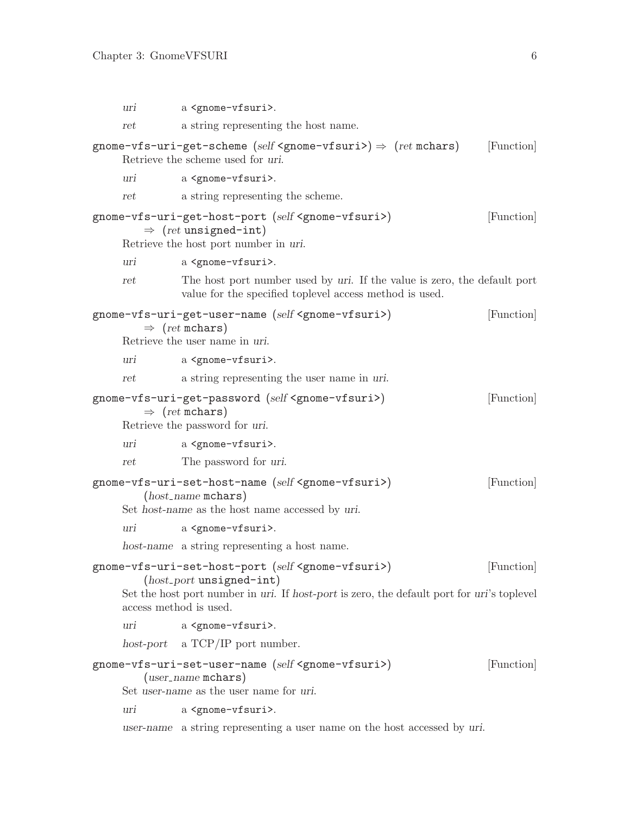<span id="page-8-0"></span>

| uri                    | a <gnome-vfsuri>.</gnome-vfsuri>                                                                                                                                                                                   |            |
|------------------------|--------------------------------------------------------------------------------------------------------------------------------------------------------------------------------------------------------------------|------------|
| ret                    | a string representing the host name.                                                                                                                                                                               |            |
|                        | gnome-vfs-uri-get-scheme (self <gnome-vfsuri>) <math>\Rightarrow</math> (ret mchars)<br/>Retrieve the scheme used for uri.</gnome-vfsuri>                                                                          | [Function] |
| uri                    | a <gnome-vfsuri>.</gnome-vfsuri>                                                                                                                                                                                   |            |
| ret                    | a string representing the scheme.                                                                                                                                                                                  |            |
|                        | gnome-vfs-uri-get-host-port (self <gnome-vfsuri>)<br/><math>\Rightarrow</math> (ret unsigned-int)<br/>Retrieve the host port number in uri.</gnome-vfsuri>                                                         | [Function] |
| uri                    | a <gnome-vfsuri>.</gnome-vfsuri>                                                                                                                                                                                   |            |
| ret                    | The host port number used by uri. If the value is zero, the default port<br>value for the specified toplevel access method is used.                                                                                |            |
|                        | gnome-vfs-uri-get-user-name (self <gnome-vfsuri>)<br/><math>\Rightarrow</math> (ret mchars)<br/>Retrieve the user name in uri.</gnome-vfsuri>                                                                      | [Function] |
| uri                    | a <gnome-vfsuri>.</gnome-vfsuri>                                                                                                                                                                                   |            |
| ret                    | a string representing the user name in uri.                                                                                                                                                                        |            |
|                        | gnome-vfs-uri-get-password (self <gnome-vfsuri>)<br/><math>\Rightarrow</math> (ret mchars)<br/>Retrieve the password for uri.</gnome-vfsuri>                                                                       | [Function] |
| uri                    | a <gnome-vfsuri>.</gnome-vfsuri>                                                                                                                                                                                   |            |
| ret                    | The password for uri.                                                                                                                                                                                              |            |
|                        | gnome-vfs-uri-set-host-name (self <gnome-vfsuri>)<br/><math>(host_name</math> mchars)<br/>Set host-name as the host name accessed by uri.</gnome-vfsuri>                                                           | [Function] |
| uri                    | a <gnome-vfsuri>.</gnome-vfsuri>                                                                                                                                                                                   |            |
|                        | host-name a string representing a host name.                                                                                                                                                                       |            |
| access method is used. | gnome-vfs-uri-set-host-port (self <gnome-vfsuri>)<br/><math>(host{\text{-}}port</math> unsigned-int)<br/>Set the host port number in uri. If host-port is zero, the default port for uri's toplevel</gnome-vfsuri> | [Function] |
| uri                    | a <gnome-vfsuri>.</gnome-vfsuri>                                                                                                                                                                                   |            |
|                        | host-port a $TCP/IP$ port number.                                                                                                                                                                                  |            |
|                        | gnome-vfs-uri-set-user-name (self <gnome-vfsuri>)<br/><math>(user_name</math> mchars)<br/>Set user-name as the user name for uri.</gnome-vfsuri>                                                                   | [Function] |
| uri                    | a <gnome-vfsuri>.</gnome-vfsuri>                                                                                                                                                                                   |            |
|                        | user-name a string representing a user name on the host accessed by uri.                                                                                                                                           |            |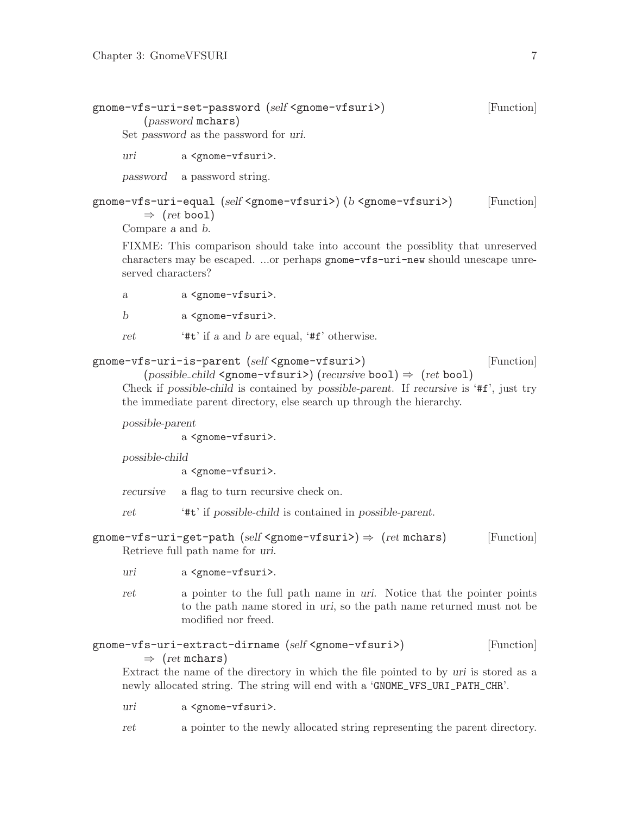```
gnome-vfs-uri-set-password (self <gnome-vfsuri>) [Function]
       (password mchars)
    Set password as the password for uri.
```
uri a <gnome-vfsuri>.

password a password string.

gnome-vfs-uri-equal (self <gnome-vfsuri>) (b <gnome-vfsuri>) [Function]  $\Rightarrow$  (ret bool)

Compare a and b.

FIXME: This comparison should take into account the possiblity that unreserved characters may be escaped. ...or perhaps gnome-vfs-uri-new should unescape unreserved characters?

a a <gnome-vfsuri>.

b a <gnome-vfsuri>.

ret '#t' if a and b are equal, '#f' otherwise.

```
gnome-vfs-uri-is-parent (self <gnome-vfsuri>) [Function]
```
 $(posisble\_child \leq pome \neg \texttt{fsuri}) (recursive \texttt{bool}) \Rightarrow (ret \texttt{bool})$ Check if possible-child is contained by possible-parent. If recursive is '#f', just try the immediate parent directory, else search up through the hierarchy.

possible-parent

a <gnome-vfsuri>.

possible-child

a <gnome-vfsuri>.

recursive a flag to turn recursive check on.

ret '#t' if possible-child is contained in possible-parent.

gnome-vfs-uri-get-path (self <gnome-vfsuri>)  $\Rightarrow$  (ret mchars) [Function] Retrieve full path name for uri.

- uri a <gnome-vfsuri>.
- ret a pointer to the full path name in uri. Notice that the pointer points to the path name stored in uri, so the path name returned must not be modified nor freed.

### gnome-vfs-uri-extract-dirname (self <gnome-vfsuri>) [Function]  $\Rightarrow$  (ret mchars)

Extract the name of the directory in which the file pointed to by uri is stored as a newly allocated string. The string will end with a 'GNOME\_VFS\_URI\_PATH\_CHR'.

uri a <gnome-vfsuri>.

ret a pointer to the newly allocated string representing the parent directory.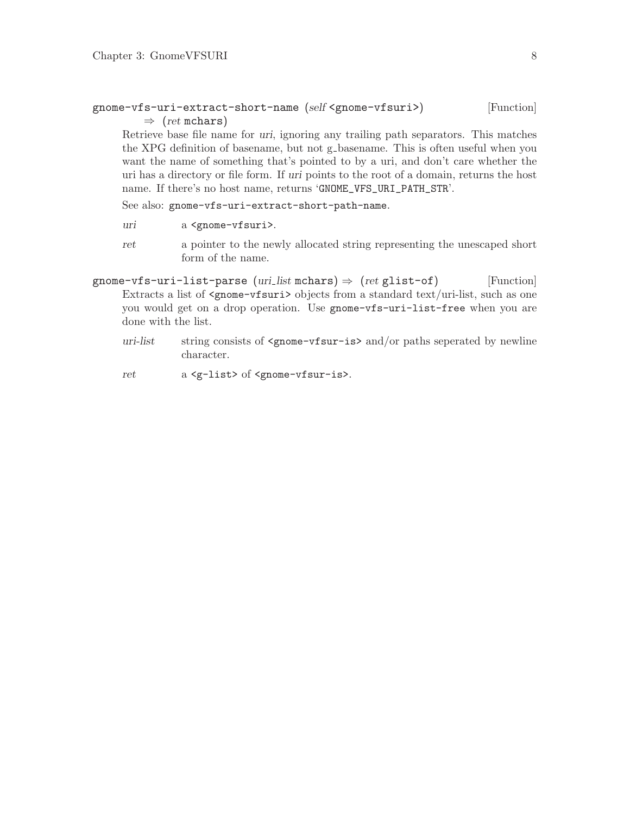### <span id="page-10-0"></span>gnome-vfs-uri-extract-short-name (self <gnome-vfsuri>) [Function]  $\Rightarrow$  (ret mchars)

Retrieve base file name for uri, ignoring any trailing path separators. This matches the XPG definition of basename, but not g basename. This is often useful when you want the name of something that's pointed to by a uri, and don't care whether the uri has a directory or file form. If uri points to the root of a domain, returns the host name. If there's no host name, returns 'GNOME\_VFS\_URI\_PATH\_STR'.

See also: gnome-vfs-uri-extract-short-path-name.

- uri a <gnome-vfsuri>.
- ret a pointer to the newly allocated string representing the unescaped short form of the name.
- gnome-vfs-uri-list-parse (uri\_list mchars)  $\Rightarrow$  (ret glist-of) [Function] Extracts a list of <gnome-vfsuri> objects from a standard text/uri-list, such as one you would get on a drop operation. Use gnome-vfs-uri-list-free when you are done with the list.
	- uri-list string consists of  $\zeta$  nome-vfsur-is> and/or paths seperated by newline character.

ret a <g-list> of <gnome-vfsur-is>.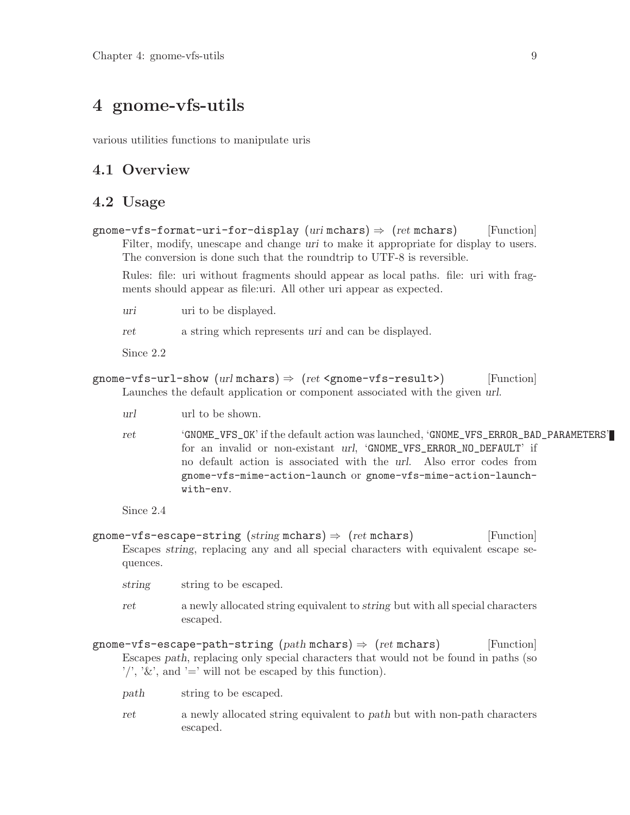## <span id="page-11-0"></span>4 gnome-vfs-utils

various utilities functions to manipulate uris

## 4.1 Overview

### 4.2 Usage

gnome-vfs-format-uri-for-display (uri mchars)  $\Rightarrow$  (ret mchars) [Function] Filter, modify, unescape and change uri to make it appropriate for display to users. The conversion is done such that the roundtrip to UTF-8 is reversible.

Rules: file: uri without fragments should appear as local paths. file: uri with fragments should appear as file:uri. All other uri appear as expected.

uri uri to be displayed.

ret a string which represents uri and can be displayed.

Since 2.2

```
gnome-vfs-url-show (url mchars) \Rightarrow (ret <gnome-vfs-result>) [Function]
     Launches the default application or component associated with the given url.
```
- url url to be shown.
- ret 'GNOME\_VFS\_OK' if the default action was launched, 'GNOME\_VFS\_ERROR\_BAD\_PARAMETERS' for an invalid or non-existant url, 'GNOME\_VFS\_ERROR\_NO\_DEFAULT' if no default action is associated with the url. Also error codes from gnome-vfs-mime-action-launch or gnome-vfs-mime-action-launchwith-env.

Since 2.4

```
gnome-vfs-escape-string (\text{string mchars}) \Rightarrow (\text{ret mchars}) [Function]
     Escapes string, replacing any and all special characters with equivalent escape se-
     quences.
```
- string string to be escaped.
- ret a newly allocated string equivalent to string but with all special characters escaped.

gnome-vfs-escape-path-string  $(path$  mchars)  $\Rightarrow$   $(ret$  mchars) [Function] Escapes path, replacing only special characters that would not be found in paths (so  $'$ ', ' $\&$ ', and '=' will not be escaped by this function).

- path string to be escaped.
- ret a newly allocated string equivalent to path but with non-path characters escaped.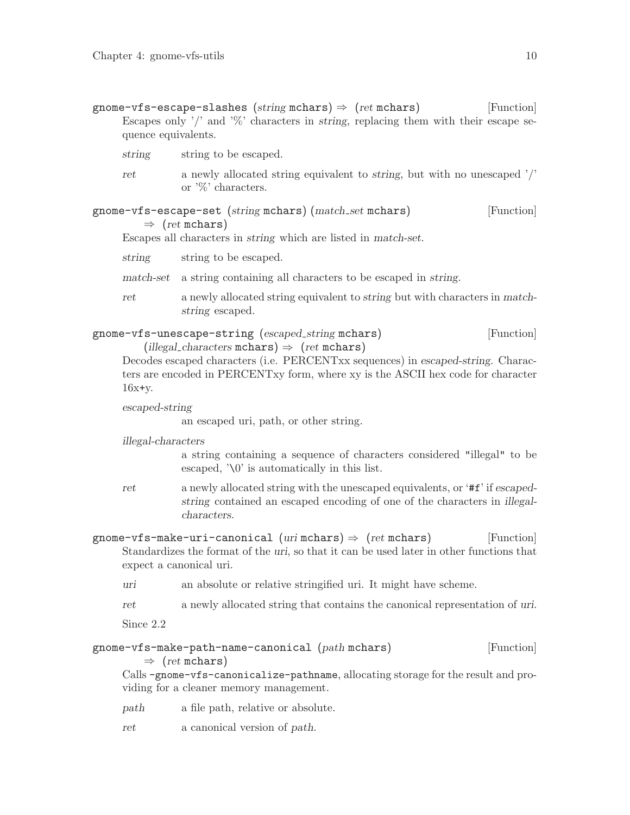<span id="page-12-0"></span>gnome-vfs-escape-slashes (string mchars)  $\Rightarrow$  (ret mchars) [Function] Escapes only  $\prime$  and  $\%$  characters in string, replacing them with their escape sequence equivalents.

- string string to be escaped.
- ret a newly allocated string equivalent to string, but with no unescaped '/' or '%' characters.

### gnome-vfs-escape-set (string mchars) (match set mchars) [Function]  $\Rightarrow$  (ret mchars)

Escapes all characters in string which are listed in match-set.

string string to be escaped.

match-set a string containing all characters to be escaped in string.

ret a newly allocated string equivalent to string but with characters in matchstring escaped.

| gnome-vfs-unescape-string (escaped_string mchars)      | [Function] |
|--------------------------------------------------------|------------|
| (illegal_characters mchars) $\Rightarrow$ (ret mchars) |            |

Decodes escaped characters (i.e. PERCENTxx sequences) in escaped-string. Characters are encoded in PERCENTxy form, where xy is the ASCII hex code for character  $16x+y$ .

escaped-string

an escaped uri, path, or other string.

illegal-characters

a string containing a sequence of characters considered "illegal" to be escaped, '\0' is automatically in this list.

- ret a newly allocated string with the unescaped equivalents, or '#f' if escapedstring contained an escaped encoding of one of the characters in illegalcharacters.
- gnome-vfs-make-uri-canonical (urimchars)  $\Rightarrow$  (ret mchars) [Function] Standardizes the format of the uri, so that it can be used later in other functions that expect a canonical uri.
	- uri an absolute or relative stringified uri. It might have scheme.
	- ret a newly allocated string that contains the canonical representation of uri.

Since 2.2

### gnome-vfs-make-path-name-canonical (path mchars) [Function]  $\Rightarrow$  (ret mchars)

Calls -gnome-vfs-canonicalize-pathname, allocating storage for the result and providing for a cleaner memory management.

- path a file path, relative or absolute.
- ret a canonical version of path.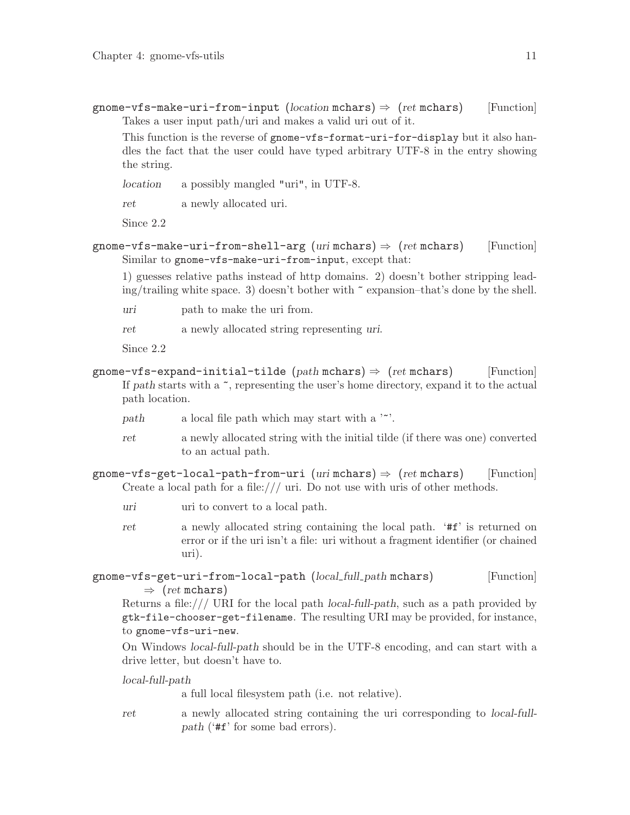<span id="page-13-0"></span>gnome-vfs-make-uri-from-input (location mchars)  $\Rightarrow$  (ret mchars) [Function] Takes a user input path/uri and makes a valid uri out of it.

This function is the reverse of gnome-vfs-format-uri-for-display but it also handles the fact that the user could have typed arbitrary UTF-8 in the entry showing the string.

location a possibly mangled "uri", in UTF-8.

ret a newly allocated uri.

Since 2.2

```
gnome-vfs-make-uri-from-shell-arg (uri mchars) \Rightarrow (ret mchars) [Function]
     Similar to gnome-vfs-make-uri-from-input, except that:
```
1) guesses relative paths instead of http domains. 2) doesn't bother stripping lead $ing/training$  white space. 3) doesn't bother with  $\tilde{ }$  expansion–that's done by the shell.

uri path to make the uri from.

ret a newly allocated string representing uri.

Since 2.2

- gnome-vfs-expand-initial-tilde (path mchars)  $\Rightarrow$  (ret mchars) [Function] If path starts with a  $\tilde{\ }$ , representing the user's home directory, expand it to the actual path location.
	- path a local file path which may start with a  $\sim$ ".
	- ret a newly allocated string with the initial tilde (if there was one) converted to an actual path.

gnome-vfs-get-local-path-from-uri (uri mchars)  $\Rightarrow$  (ret mchars) [Function] Create a local path for a file:/// uri. Do not use with uris of other methods.

- uri uri to convert to a local path.
- ret a newly allocated string containing the local path. '#f' is returned on error or if the uri isn't a file: uri without a fragment identifier (or chained uri).

```
gnome-vfs-get-uri-from-local-path (local_full_path mchars) [Function]
         \Rightarrow (ret mchars)
```
Returns a file:/// URI for the local path local-full-path, such as a path provided by gtk-file-chooser-get-filename. The resulting URI may be provided, for instance, to gnome-vfs-uri-new.

On Windows local-full-path should be in the UTF-8 encoding, and can start with a drive letter, but doesn't have to.

local-full-path

a full local filesystem path (i.e. not relative).

ret a newly allocated string containing the uri corresponding to local-fullpath ('#f' for some bad errors).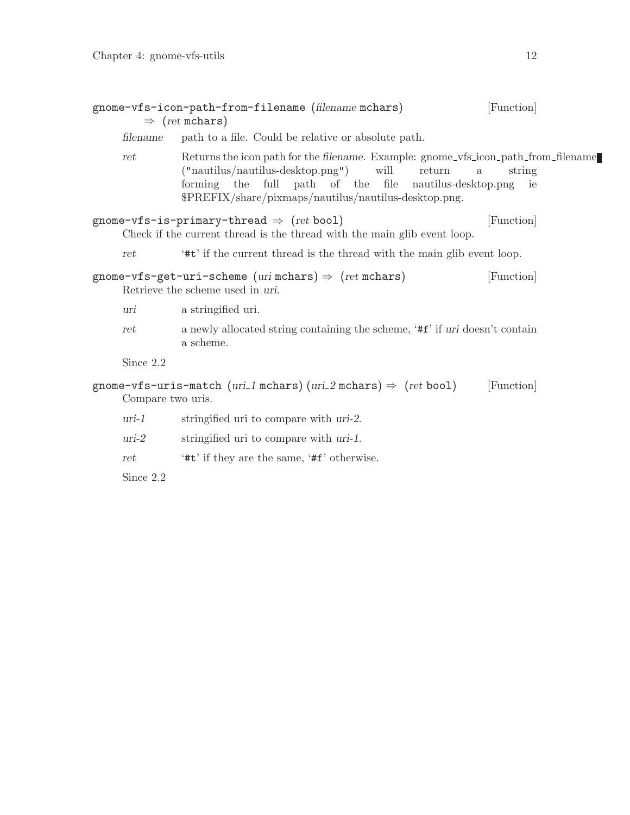<span id="page-14-0"></span>

|                   | gnome-vfs-icon-path-from-filename (filename mchars)<br>$\Rightarrow$ (ret mchars)                                                                                                                                                                                       | [Function]   |
|-------------------|-------------------------------------------------------------------------------------------------------------------------------------------------------------------------------------------------------------------------------------------------------------------------|--------------|
| filename          | path to a file. Could be relative or absolute path.                                                                                                                                                                                                                     |              |
| ret               | Returns the icon path for the filename. Example: gnome_vfs_icon_path_from_filename<br>$("nautilus/nautilus-desktop.png")$ will<br>return<br>$\rm{a}$<br>forming the full path of the file nautilus-desktop.png<br>\$PREFIX/share/pixmaps/nautilus/nautilus-desktop.png. | string<br>ie |
|                   | gnome-vfs-is-primary-thread $\Rightarrow$ (ret bool)<br>Check if the current thread is the thread with the main glib event loop.                                                                                                                                        | [Function]   |
| ret               | "#t" if the current thread is the thread with the main glib event loop.                                                                                                                                                                                                 |              |
|                   | gnome-vfs-get-uri-scheme $(uri \text{ mchars}) \Rightarrow (ret \text{ mchars})$<br>Retrieve the scheme used in uri.                                                                                                                                                    | [Function]   |
| uri               | a stringified uri.                                                                                                                                                                                                                                                      |              |
| ret               | a newly allocated string containing the scheme, '#f' if uri doesn't contain<br>a scheme.                                                                                                                                                                                |              |
| Since 2.2         |                                                                                                                                                                                                                                                                         |              |
| Compare two uris. | gnome-vfs-uris-match (uri_1 mchars) (uri_2 mchars) $\Rightarrow$ (ret bool)                                                                                                                                                                                             | [Function]   |
| $uri-1$           | stringified uri to compare with uri-2.                                                                                                                                                                                                                                  |              |
| $uri-2$           | stringified uri to compare with uri-1.                                                                                                                                                                                                                                  |              |
| ret               | '#t' if they are the same, '#f' otherwise.                                                                                                                                                                                                                              |              |

Since 2.2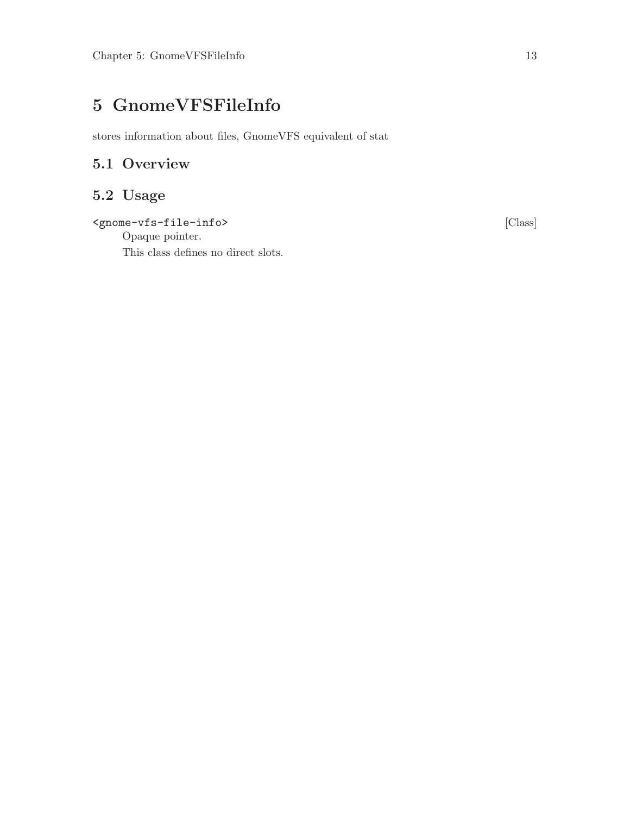# <span id="page-15-0"></span>5 GnomeVFSFileInfo

stores information about files, GnomeVFS equivalent of stat

## 5.1 Overview

## 5.2 Usage

<gnome-vfs-file-info> [Class]

Opaque pointer. This class defines no direct slots.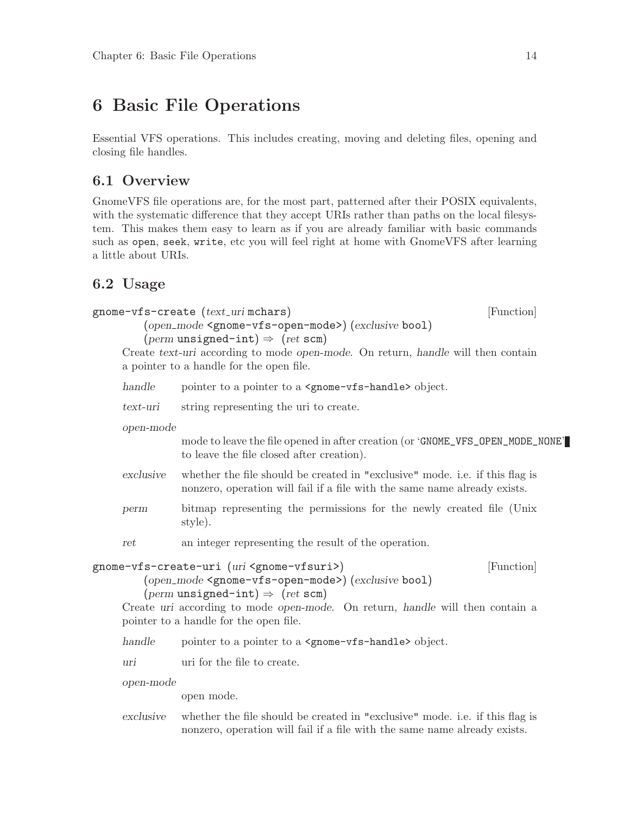## <span id="page-16-0"></span>6 Basic File Operations

Essential VFS operations. This includes creating, moving and deleting files, opening and closing file handles.

## 6.1 Overview

GnomeVFS file operations are, for the most part, patterned after their POSIX equivalents, with the systematic difference that they accept URIs rather than paths on the local filesystem. This makes them easy to learn as if you are already familiar with basic commands such as open, seek, write, etc you will feel right at home with GnomeVFS after learning a little about URIs.

## 6.2 Usage

```
gnome-vfs-create (text_uri mchars) [Function]
         (open mode <gnome-vfs-open-mode>) (exclusive bool)
         (perm unsigned-int) \Rightarrow (ret scm)
     Create text-uri according to mode open-mode. On return, handle will then contain
     a pointer to a handle for the open file.
     handle pointer to a pointer to a \epsilon sprome-vfs-handle bobject.
     text-uri string representing the uri to create.
     open-mode
                mode to leave the file opened in after creation (or 'GNOME_VFS_OPEN_MODE_NONE'
                to leave the file closed after creation).
     exclusive whether the file should be created in "exclusive" mode. i.e. if this flag is
                nonzero, operation will fail if a file with the same name already exists.
     perm bitmap representing the permissions for the newly created file (Unix
                style).
     ret an integer representing the result of the operation.
gnome-vfs-create-uri (uri <gnome-vfsuri>) [Function]
         (open mode <gnome-vfs-open-mode>) (exclusive bool)
         (perm unsigned-int) \Rightarrow (ret scm)
     Create uri according to mode open-mode. On return, handle will then contain a
     pointer to a handle for the open file.
     handle pointer to a pointer to a <gnome-vfs-handle> object.
     uri uri for the file to create.
     open-mode
                open mode.
     exclusive whether the file should be created in "exclusive" mode. i.e. if this flag is
                nonzero, operation will fail if a file with the same name already exists.
```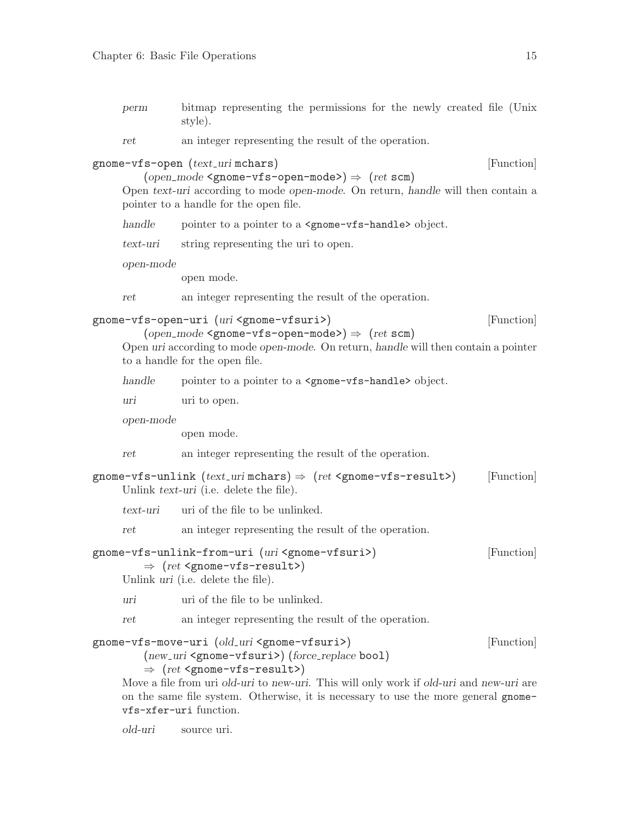<span id="page-17-0"></span>perm bitmap representing the permissions for the newly created file (Unix style).

ret an integer representing the result of the operation.

gnome-vfs-open (text\_uri mchars) [Function]

```
(open-mode < genome-vfs-open-mode >) \Rightarrow (ret < sem)
```
Open text-uri according to mode open-mode. On return, handle will then contain a pointer to a handle for the open file.

handle pointer to a pointer to a <gnome-vfs-handle> object.

text-uri string representing the uri to open.

open-mode

open mode.

ret an integer representing the result of the operation.

### gnome-vfs-open-uri (uri <gnome-vfsuri>) [Function]

```
(open-mode < genome-vfs-open-mode >) \Rightarrow (ret < sem)
```
Open uri according to mode open-mode. On return, handle will then contain a pointer to a handle for the open file.

| handle |  |  |  |  | pointer to a pointer to a <gnome-vfs-handle> object.</gnome-vfs-handle> |  |
|--------|--|--|--|--|-------------------------------------------------------------------------|--|
|--------|--|--|--|--|-------------------------------------------------------------------------|--|

uri uri to open.

open-mode

open mode.

ret an integer representing the result of the operation.

```
gnome-vfs-unlink (text_uri \text{ mchars}) \Rightarrow (ret \text{ 'gnome-vfs-result'}) [Function]
      Unlink text-uri (i.e. delete the file).
```
text-uri uri of the file to be unlinked.

ret an integer representing the result of the operation.

## gnome-vfs-unlink-from-uri (uri <gnome-vfsuri>) [Function]  $\Rightarrow$  (ret <gnome-vfs-result>)

Unlink uri (i.e. delete the file).

uri uri of the file to be unlinked.

ret an integer representing the result of the operation.

## gnome-vfs-move-uri (old uri <gnome-vfsuri>) [Function] (new\_uri <gnome-vfsuri>) (force\_replace bool)

### $\Rightarrow$  (ret <gnome-vfs-result>)

Move a file from uri *old-uri* to new-uri. This will only work if *old-uri* and new-uri are on the same file system. Otherwise, it is necessary to use the more general gnomevfs-xfer-uri function.

old-uri source uri.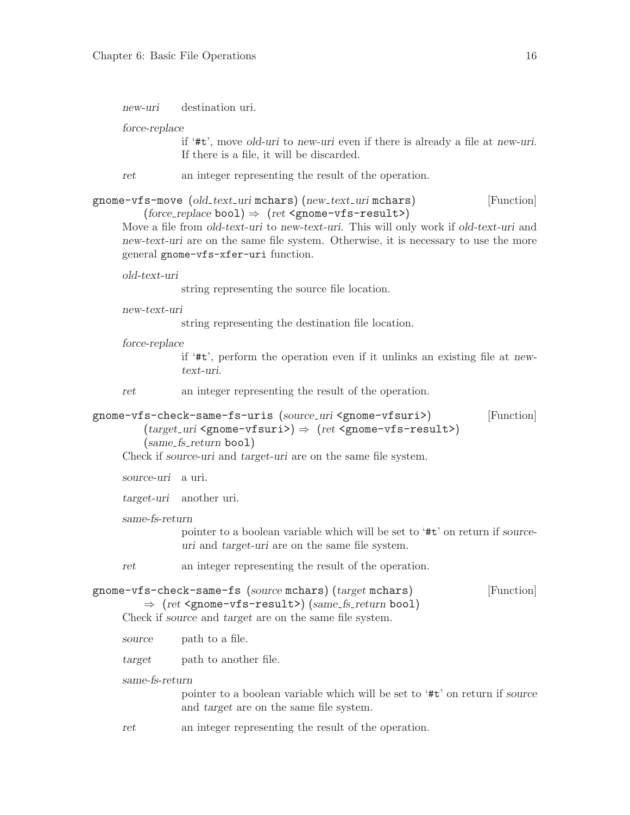<span id="page-18-0"></span>new-uri destination uri.

force-replace

if '#t', move old-uri to new-uri even if there is already a file at new-uri. If there is a file, it will be discarded.

ret an integer representing the result of the operation.

```
gnome-vfs-move (old_text_uri mchars) (new_text_uri mchars) [Function]
         (horce\_replace bool) \Rightarrow (ret < genome - vfs - result)
```
Move a file from *old-text-uri* to new-text-uri. This will only work if *old-text-uri* and new-text-uri are on the same file system. Otherwise, it is necessary to use the more general gnome-vfs-xfer-uri function.

old-text-uri

string representing the source file location.

new-text-uri

string representing the destination file location.

force-replace

if '#t', perform the operation even if it unlinks an existing file at newtext-uri.

ret an integer representing the result of the operation.

```
gnome-vfs-check-same-fs-uris (source uri <gnome-vfsuri>) [Function]
        (target_U - wfsumi>) \Rightarrow (ret < gnome - vfsu(same_f s_{return} bool)
```
Check if source-uri and target-uri are on the same file system.

source-uri a uri.

target-uri another uri.

same-fs-return

pointer to a boolean variable which will be set to '#t' on return if sourceuri and target-uri are on the same file system.

ret an integer representing the result of the operation.

```
gnome-vfs-check-same-fs (source mchars) (target mchars) [Function]
```
 $\Rightarrow$  (ret <gnome-vfs-result>) (same\_fs\_return bool) Check if source and target are on the same file system.

- source path to a file.
- target path to another file.

same-fs-return

pointer to a boolean variable which will be set to '#t' on return if source and target are on the same file system.

ret an integer representing the result of the operation.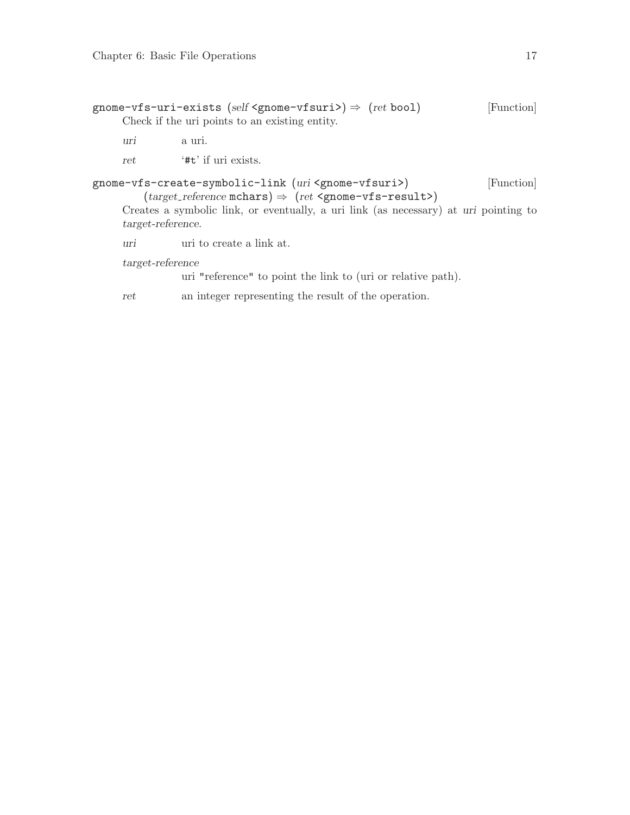<span id="page-19-0"></span>

|     | gnome-vfs-uri-exists (self <gnome-vfsuri>) <math>\Rightarrow</math> (ret bool)</gnome-vfsuri> | [Function] |
|-----|-----------------------------------------------------------------------------------------------|------------|
|     | Check if the uri points to an existing entity.                                                |            |
| uri | a uri.                                                                                        |            |

ret '#t' if uri exists.

### gnome-vfs-create-symbolic-link (uri <gnome-vfsuri>) [Function]  $(target\_reference \text{ mchars}) \Rightarrow (ret \text{ 'gnome - vfs -} result \text{') }$

Creates a symbolic link, or eventually, a uri link (as necessary) at uri pointing to target-reference.

uri uri to create a link at.

target-reference

uri "reference" to point the link to (uri or relative path).

ret an integer representing the result of the operation.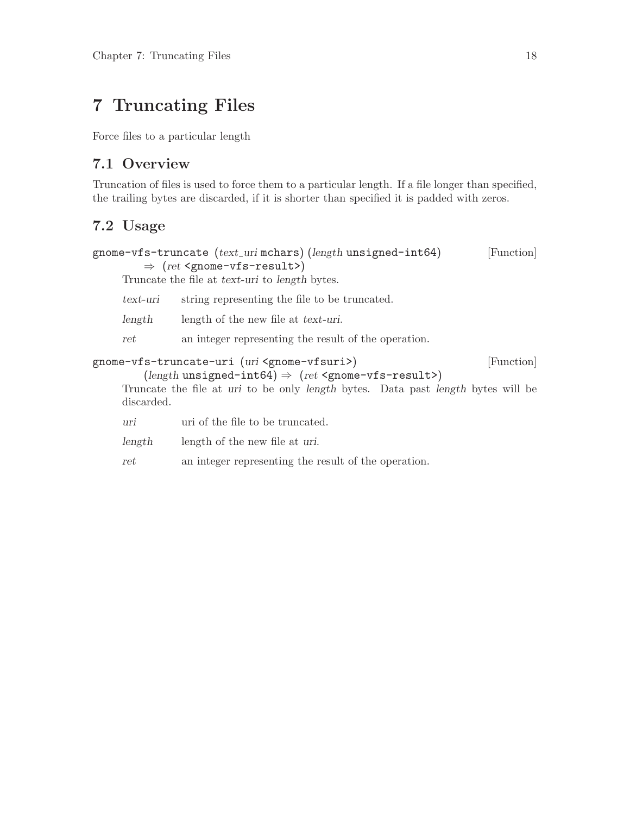# <span id="page-20-0"></span>7 Truncating Files

Force files to a particular length

## 7.1 Overview

Truncation of files is used to force them to a particular length. If a file longer than specified, the trailing bytes are discarded, if it is shorter than specified it is padded with zeros.

## 7.2 Usage

```
gnome-vfs-truncate (text\_uri mchars) (length unsigned-int64) [Function]
         \Rightarrow (ret <gnome-vfs-result>)
     Truncate the file at text-uri to length bytes.
     text-uri string representing the file to be truncated.
     length length of the new file at text-uri.
     ret an integer representing the result of the operation.
gnome-vfs-truncate-uri (uri <gnome-vfsuri>) [Function]
         (length unsigned-int64) \Rightarrow (ret <gnome-vfs-result>)
     Truncate the file at uri to be only length bytes. Data past length bytes will be
     discarded.
     uri uri of the file to be truncated.
     length length of the new file at uri.
     ret an integer representing the result of the operation.
```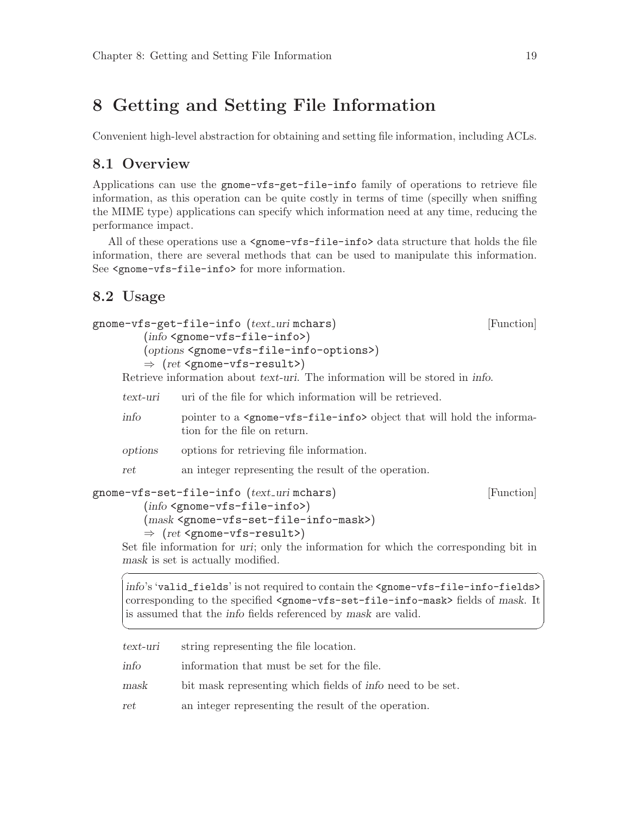## <span id="page-21-0"></span>8 Getting and Setting File Information

Convenient high-level abstraction for obtaining and setting file information, including ACLs.

## 8.1 Overview

Applications can use the gnome-vfs-get-file-info family of operations to retrieve file information, as this operation can be quite costly in terms of time (specilly when sniffing the MIME type) applications can specify which information need at any time, reducing the performance impact.

All of these operations use a  $\epsilon$ gnome-vfs-file-info $\epsilon$  data structure that holds the file information, there are several methods that can be used to manipulate this information. See <gnome-vfs-file-info> for more information.

## 8.2 Usage

```
gnome-vfs-get-file-info (text uri mchars) [Function]
        (info <gnome-vfs-file-info>)
        (options <gnome-vfs-file-info-options>)
        \Rightarrow (ret <gnome-vfs-result>)
    Retrieve information about text-uri. The information will be stored in info.
```

| text-uri | uri of the file for which information will be retrieved.                                                                                                                                                               |  |
|----------|------------------------------------------------------------------------------------------------------------------------------------------------------------------------------------------------------------------------|--|
| info     | pointer to a <gnome-vfs-file-info> object that will hold the informa-<br/>tion for the file on return.</gnome-vfs-file-info>                                                                                           |  |
| options  | options for retrieving file information.                                                                                                                                                                               |  |
| ret      | an integer representing the result of the operation.                                                                                                                                                                   |  |
|          | gnome-vfs-set-file-info (text_urimchars)<br>[Function]<br>$(info \leq gnone - vfs - file - info)$<br>$(mask \leq \texttt{gnome-vfs-set-file-info-mask>})$<br>$\Rightarrow$ (ret <gnome-vfs-result>)</gnome-vfs-result> |  |

Set file information for uri; only the information for which the corresponding bit in mask is set is actually modified.

info's 'valid\_fields' is not required to contain the <gnome-vfs-file-info-fields> corresponding to the specified <gnome-vfs-set-file-info-mask> fields of mask. It is assumed that the info fields referenced by mask are valid.

 $\sqrt{2\pi}$ 

✡ ✠

| $text$ - $uri$ | string representing the file location.                     |
|----------------|------------------------------------------------------------|
| info           | information that must be set for the file.                 |
| mask           | bit mask representing which fields of info need to be set. |
| ret            | an integer representing the result of the operation.       |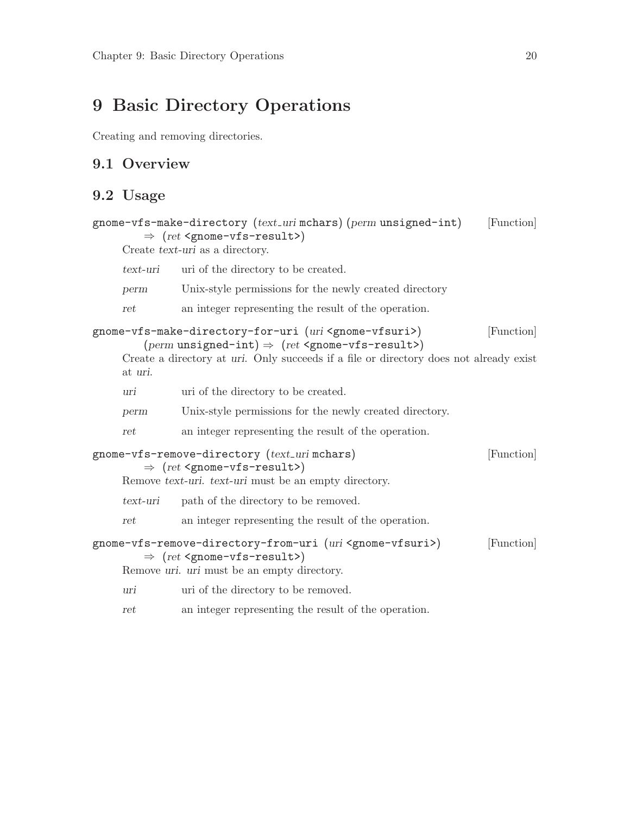## <span id="page-22-0"></span>9 Basic Directory Operations

Creating and removing directories.

## 9.1 Overview

## 9.2 Usage

```
gnome-vfs-make-directory (text_uri mchars) (perm unsigned-int) [Function]
         \Rightarrow (ret <gnome-vfs-result>)
     Create text-uri as a directory.
     text-uri uri of the directory to be created.
     perm Unix-style permissions for the newly created directory
     ret an integer representing the result of the operation.
gnome-vfs-make-directory-for-uri (uri <gnome-vfsuri>) [Function]
         (perm unsigned-int) \Rightarrow (ret \leq gnone - vfs - result)Create a directory at uri. Only succeeds if a file or directory does not already exist
     at uri.
     uri uri of the directory to be created.
     perm Unix-style permissions for the newly created directory.
     ret an integer representing the result of the operation.
gnome-vfs-remove-directory (text uri mchars) [Function]
         \Rightarrow (ret <gnome-vfs-result>)
     Remove text-uri. text-uri must be an empty directory.
     text-uri path of the directory to be removed.
     ret an integer representing the result of the operation.
gnome-vfs-remove-directory-from-uri (uri <gnome-vfsuri>) [Function]
         \Rightarrow (ret <gnome-vfs-result>)
     Remove uri. uri must be an empty directory.
     uri uri of the directory to be removed.
     ret an integer representing the result of the operation.
```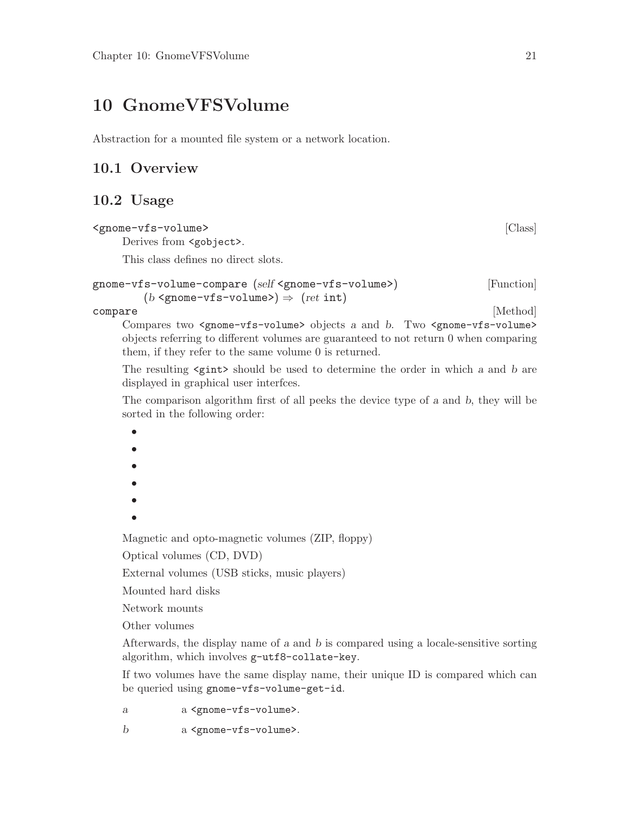## <span id="page-23-0"></span>10 GnomeVFSVolume

Abstraction for a mounted file system or a network location.

## 10.1 Overview

## 10.2 Usage

### <gnome-vfs-volume> [Class]

Derives from <gobject>.

This class defines no direct slots.

```
gnome-vfs-volume-compare (self <gnome-vfs-volume>) [Function]
         (b \leq p \leq v \leq s \leq v \leq s) \Rightarrow (ret \text{int})
```
compare [Method] Compares two <gnome-vfs-volume> objects a and b. Two <gnome-vfs-volume> objects referring to different volumes are guaranteed to not return 0 when comparing them, if they refer to the same volume 0 is returned.

The resulting  $\langle$ gint> should be used to determine the order in which a and b are displayed in graphical user interfces.

The comparison algorithm first of all peeks the device type of a and b, they will be sorted in the following order:

• • • • • • Magnetic and opto-magnetic volumes (ZIP, floppy)

Optical volumes (CD, DVD)

External volumes (USB sticks, music players)

Mounted hard disks

Network mounts

Other volumes

Afterwards, the display name of a and b is compared using a locale-sensitive sorting algorithm, which involves g-utf8-collate-key.

If two volumes have the same display name, their unique ID is compared which can be queried using gnome-vfs-volume-get-id.

a a <gnome-vfs-volume>.

b a <gnome-vfs-volume>.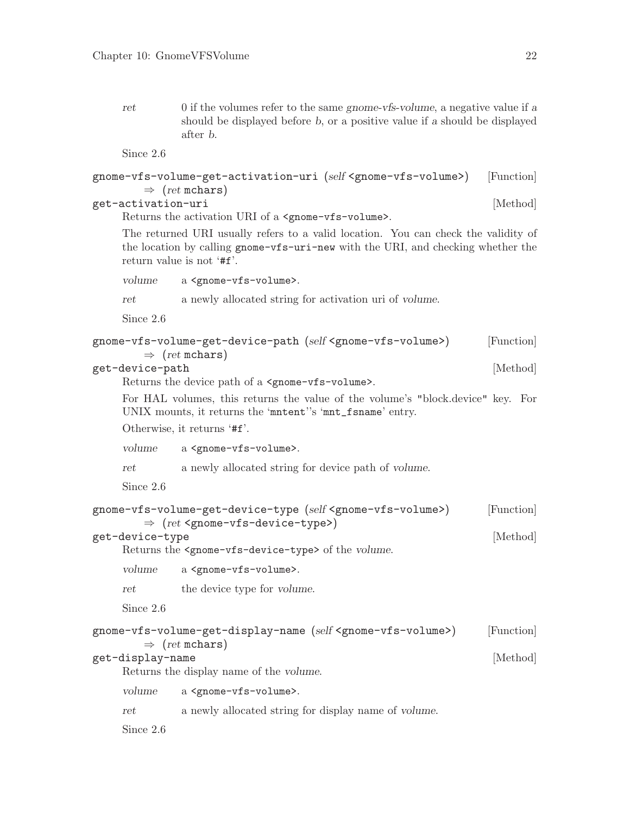<span id="page-24-0"></span>ret 0 if the volumes refer to the same gnome-vfs-volume, a negative value if a should be displayed before b, or a positive value if a should be displayed after b.

Since 2.6

```
gnome-vfs-volume-get-activation-uri (self <gnome-vfs-volume>) [Function]
      \Rightarrow (ret mchars)
get-activation-uri [Method]
```
Returns the activation URI of a <gnome-vfs-volume>.

The returned URI usually refers to a valid location. You can check the validity of the location by calling gnome-vfs-uri-new with the URI, and checking whether the return value is not '#f'.

volume a <gnome-vfs-volume>.

ret a newly allocated string for activation uri of volume.

Since 2.6

| gnome-vfs-volume-get-device-path (self <gnome-vfs-volume>)<br/>[Function]<br/><math>\Rightarrow</math> (ret mchars)</gnome-vfs-volume>                                 |                                                                                                                                               |                                                                                                                          |            |  |
|------------------------------------------------------------------------------------------------------------------------------------------------------------------------|-----------------------------------------------------------------------------------------------------------------------------------------------|--------------------------------------------------------------------------------------------------------------------------|------------|--|
| get-device-path<br>Returns the device path of a <gnome-vfs-volume>.</gnome-vfs-volume>                                                                                 |                                                                                                                                               |                                                                                                                          |            |  |
|                                                                                                                                                                        | For HAL volumes, this returns the value of the volume's "block.device" key. For<br>UNIX mounts, it returns the 'mntent''s 'mnt_fsname' entry. |                                                                                                                          |            |  |
|                                                                                                                                                                        |                                                                                                                                               | Otherwise, it returns '#f'.                                                                                              |            |  |
|                                                                                                                                                                        | volume                                                                                                                                        | a <gnome-vfs-volume>.</gnome-vfs-volume>                                                                                 |            |  |
|                                                                                                                                                                        | ret                                                                                                                                           | a newly allocated string for device path of volume.                                                                      |            |  |
|                                                                                                                                                                        | Since 2.6                                                                                                                                     |                                                                                                                          |            |  |
|                                                                                                                                                                        |                                                                                                                                               | gnome-vfs-volume-get-device-type (self <gnome-vfs-volume>)</gnome-vfs-volume>                                            | [Function] |  |
| $\Rightarrow$ (ret <gnome-vfs-device-type>)<br/>get-device-type<br/>Returns the <gnome-vfs-device-type> of the volume.</gnome-vfs-device-type></gnome-vfs-device-type> |                                                                                                                                               |                                                                                                                          | [Method]   |  |
|                                                                                                                                                                        | volume                                                                                                                                        | a <gnome-vfs-volume>.</gnome-vfs-volume>                                                                                 |            |  |
|                                                                                                                                                                        | ret                                                                                                                                           | the device type for volume.                                                                                              |            |  |
|                                                                                                                                                                        | Since 2.6                                                                                                                                     |                                                                                                                          |            |  |
|                                                                                                                                                                        |                                                                                                                                               | gnome-vfs-volume-get-display-name (self <gnome-vfs-volume>)<br/><math>\Rightarrow</math> (ret mchars)</gnome-vfs-volume> | [Function] |  |
|                                                                                                                                                                        | get-display-name                                                                                                                              | Returns the display name of the volume.                                                                                  | [Method]   |  |
|                                                                                                                                                                        | volume                                                                                                                                        | a <gnome-vfs-volume>.</gnome-vfs-volume>                                                                                 |            |  |
|                                                                                                                                                                        | ret                                                                                                                                           | a newly allocated string for display name of volume.                                                                     |            |  |
|                                                                                                                                                                        | Since 2.6                                                                                                                                     |                                                                                                                          |            |  |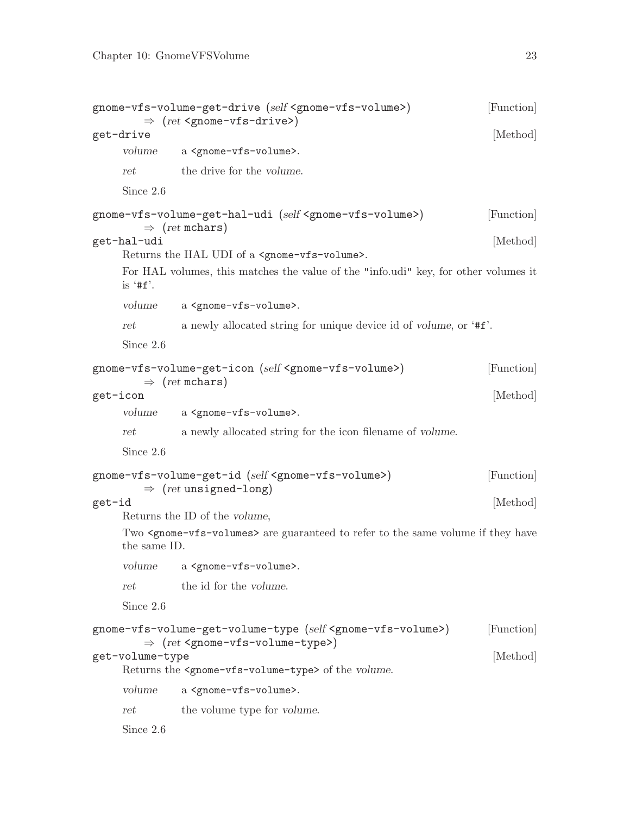```
gnome-vfs-volume-get-drive (self <gnome-vfs-volume>) [Function]
       \Rightarrow (ret <gnome-vfs-drive>)
get-drive [Method]
    volume a <gnome-vfs-volume>.
    ret the drive for the volume.
    Since 2.6
gnome-vfs-volume-get-hal-udi (self <gnome-vfs-volume>) [Function]
       \Rightarrow (ret mchars)
get-hal-udi [Method]
    Returns the HAL UDI of a <gnome-vfs-volume>.
    For HAL volumes, this matches the value of the "info.udi" key, for other volumes it
    is '#f'.
    volume a <gnome-vfs-volume>.
    ret a newly allocated string for unique device id of volume, or '#f'.
    Since 2.6
gnome-vfs-volume-get-icon (self <gnome-vfs-volume>) [Function]
       \Rightarrow (ret mchars)
get-icon [Method]
    volume a <gnome-vfs-volume>.
    ret a newly allocated string for the icon filename of volume.
    Since 2.6
gnome-vfs-volume-get-id (self <gnome-vfs-volume>) [Function]
       \Rightarrow (ret unsigned-long)
get-id [Method]
    Returns the ID of the volume,
    Two \leqgnome-vfs-volumes> are guaranteed to refer to the same volume if they have
    the same ID.
    volume a <gnome-vfs-volume>.
    ret the id for the volume.
    Since 2.6
gnome-vfs-volume-get-volume-type (self <gnome-vfs-volume>) [Function]
       \Rightarrow (ret <gnome-vfs-volume-type>)
get-volume-type [Method]
    Returns the <gnome-vfs-volume-type> of the volume.
    volume a <gnome-vfs-volume>.
    ret the volume type for volume.
    Since 2.6
```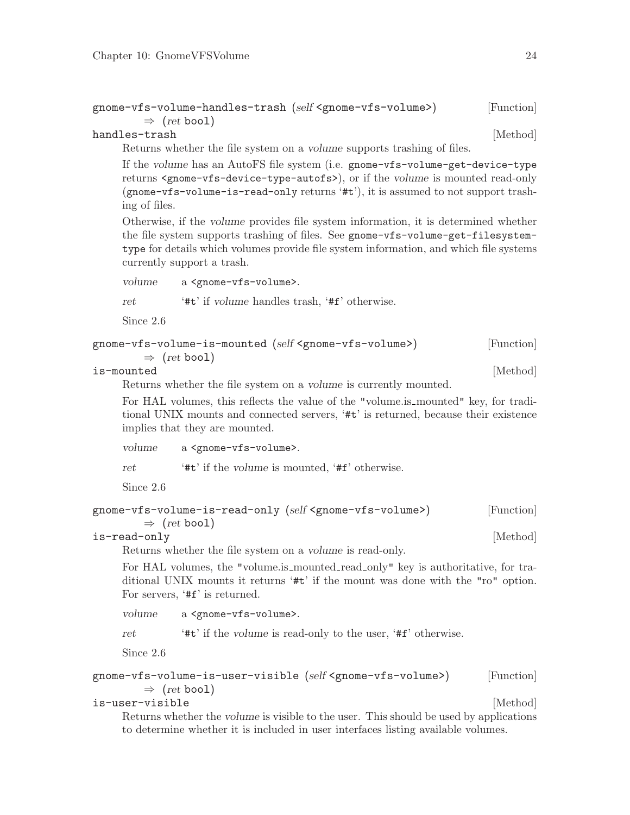```
gnome-vfs-volume-handles-trash (self <gnome-vfs-volume>) [Function]
        \Rightarrow (ret bool)
```
### handles-trash [Method]

Returns whether the file system on a volume supports trashing of files.

If the volume has an AutoFS file system (i.e. gnome-vfs-volume-get-device-type returns <gnome-vfs-device-type-autofs>), or if the volume is mounted read-only (gnome-vfs-volume-is-read-only returns '#t'), it is assumed to not support trashing of files.

Otherwise, if the volume provides file system information, it is determined whether the file system supports trashing of files. See gnome-vfs-volume-get-filesystemtype for details which volumes provide file system information, and which file systems currently support a trash.

volume a <gnome-vfs-volume>.

ret '#t' if volume handles trash, '#f' otherwise.

Since 2.6

```
gnome-vfs-volume-is-mounted (self <gnome-vfs-volume>) [Function]
```

| $\Rightarrow$ (ret bool) |
|--------------------------|
|--------------------------|

is-mounted [Method]

Returns whether the file system on a volume is currently mounted.

For HAL volumes, this reflects the value of the "volume.is mounted" key, for traditional UNIX mounts and connected servers, '#t' is returned, because their existence implies that they are mounted.

volume a <gnome-vfs-volume>.

ret '#t' if the volume is mounted, '#f' otherwise.

Since 2.6

```
gnome-vfs-volume-is-read-only (self <gnome-vfs-volume>) [Function]
```

| $\Rightarrow$ (ret bool) |          |
|--------------------------|----------|
| is-read-only             | [Method] |

Returns whether the file system on a volume is read-only.

For HAL volumes, the "volume.is\_mounted\_read\_only" key is authoritative, for traditional UNIX mounts it returns '#t' if the mount was done with the "ro" option. For servers, '#f' is returned.

volume a <gnome-vfs-volume>.

ret '#t' if the volume is read-only to the user, '#f' otherwise.

Since 2.6

```
gnome-vfs-volume-is-user-visible (self <gnome-vfs-volume>) [Function]
        \Rightarrow (ret bool)
```

```
is-user-visible [Method]
```
Returns whether the volume is visible to the user. This should be used by applications to determine whether it is included in user interfaces listing available volumes.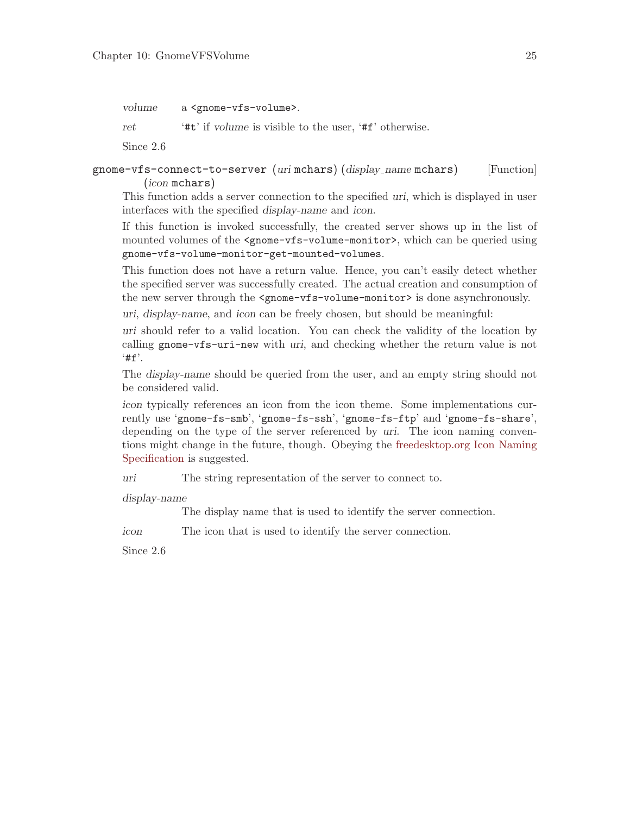<span id="page-27-0"></span>volume a <gnome-vfs-volume>.

ret '#t' if volume is visible to the user, '#f' otherwise.

Since 2.6

### gnome-vfs-connect-to-server (uri mchars) (display\_name mchars) [Function] (icon mchars)

This function adds a server connection to the specified uri, which is displayed in user interfaces with the specified display-name and icon.

If this function is invoked successfully, the created server shows up in the list of mounted volumes of the  $\epsilon$ gnome-vfs-volume-monitor>, which can be queried using gnome-vfs-volume-monitor-get-mounted-volumes.

This function does not have a return value. Hence, you can't easily detect whether the specified server was successfully created. The actual creation and consumption of the new server through the  $\zeta$  nome-vfs-volume-monitor> is done asynchronously.

uri, display-name, and icon can be freely chosen, but should be meaningful:

uri should refer to a valid location. You can check the validity of the location by calling gnome-vfs-uri-new with uri, and checking whether the return value is not  $'$ #f'.

The display-name should be queried from the user, and an empty string should not be considered valid.

icon typically references an icon from the icon theme. Some implementations currently use 'gnome-fs-smb', 'gnome-fs-ssh', 'gnome-fs-ftp' and 'gnome-fs-share', depending on the type of the server referenced by uri. The icon naming conventions might change in the future, though. Obeying the [freedesktop.org Icon Naming](http://standards.freedesktop.org/icon-naming-spec/icon-naming-spec-latest. html) [Specification](http://standards.freedesktop.org/icon-naming-spec/icon-naming-spec-latest. html) is suggested.

uri The string representation of the server to connect to.

display-name

The display name that is used to identify the server connection.

icon The icon that is used to identify the server connection.

Since 2.6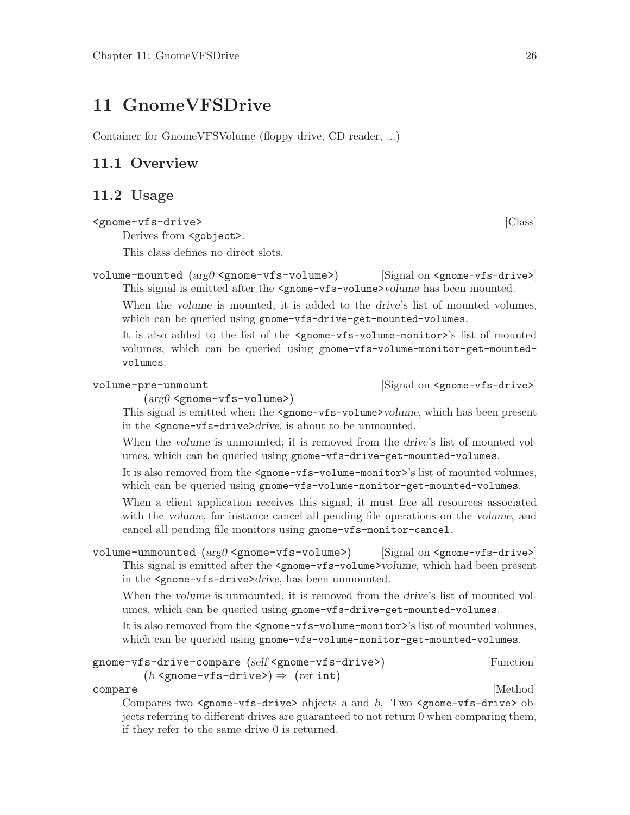## <span id="page-28-0"></span>11 GnomeVFSDrive

Container for GnomeVFSVolume (floppy drive, CD reader, ...)

## 11.1 Overview

## 11.2 Usage

### <gnome-vfs-drive> [Class]

Derives from <gobject>.

This class defines no direct slots.

volume-mounted (arg0 <gnome-vfs-volume>) [Signal on <gnome-vfs-drive>] This signal is emitted after the <gnome-vfs-volume>volume has been mounted.

When the volume is mounted, it is added to the drive's list of mounted volumes, which can be queried using gnome-vfs-drive-get-mounted-volumes.

It is also added to the list of the <gnome-vfs-volume-monitor>'s list of mounted volumes, which can be queried using gnome-vfs-volume-monitor-get-mountedvolumes.

volume-pre-unmount  $[\text{Signal on } \langle \text{gnone}-\text{vfs}-\text{drive} \rangle]$ 

 $(\text{arg}0 \leq \text{pname}-\text{vfs-volume}$ )

This signal is emitted when the <gnome-vfs-volume>volume, which has been present in the <gnome-vfs-drive>drive, is about to be unmounted.

When the volume is unmounted, it is removed from the drive's list of mounted volumes, which can be queried using gnome-vfs-drive-get-mounted-volumes.

It is also removed from the <gnome-vfs-volume-monitor>'s list of mounted volumes, which can be queried using gnome-vfs-volume-monitor-get-mounted-volumes.

When a client application receives this signal, it must free all resources associated with the volume, for instance cancel all pending file operations on the volume, and cancel all pending file monitors using gnome-vfs-monitor-cancel.

volume-unmounted  $(\text{arg}0 \leq x \leq y \leq w)$  [Signal on  $\leq y \leq x \leq y \leq w$ ] [Signal on  $\leq y \leq y \leq w$ ] This signal is emitted after the  $\leq$ gnome-vfs-volume>volume, which had been present in the <gnome-vfs-drive>drive, has been unmounted.

When the volume is unmounted, it is removed from the drive's list of mounted volumes, which can be queried using gnome-vfs-drive-get-mounted-volumes.

It is also removed from the <gnome-vfs-volume-monitor>'s list of mounted volumes, which can be queried using gnome-vfs-volume-monitor-get-mounted-volumes.

### gnome-vfs-drive-compare (self <gnome-vfs-drive>) [Function]  $(b \leq p \leq v \leq r \leq r \text{ gives}$   $\Rightarrow$   $(ret \text{int})$

compare [Method] Compares two <gnome-vfs-drive> objects a and b. Two <gnome-vfs-drive> objects referring to different drives are guaranteed to not return 0 when comparing them, if they refer to the same drive 0 is returned.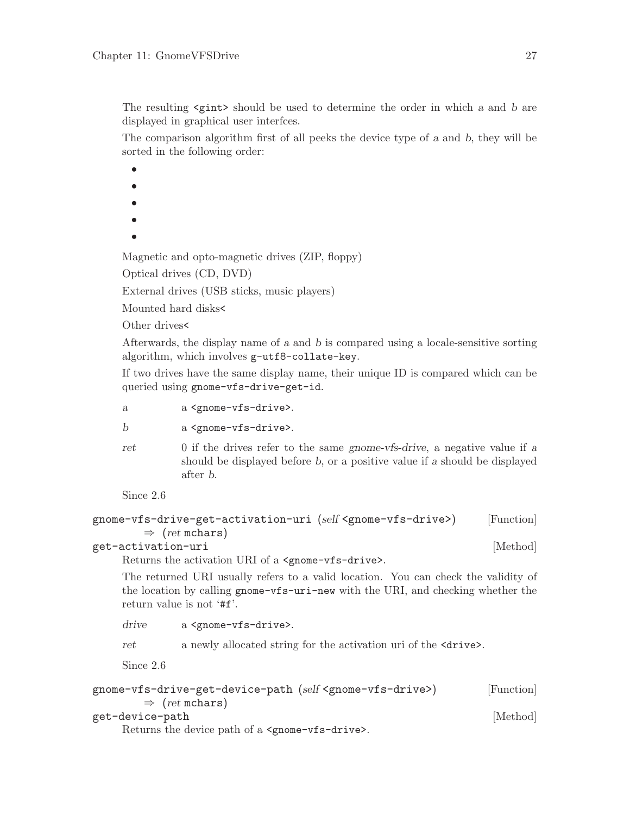<span id="page-29-0"></span>The resulting  $\zeta$  should be used to determine the order in which a and b are displayed in graphical user interfces.

The comparison algorithm first of all peeks the device type of a and b, they will be sorted in the following order:

•

- •
- •
- •
- •

Magnetic and opto-magnetic drives (ZIP, floppy)

Optical drives (CD, DVD)

External drives (USB sticks, music players)

Mounted hard disks<

Other drives<

Afterwards, the display name of a and b is compared using a locale-sensitive sorting algorithm, which involves g-utf8-collate-key.

If two drives have the same display name, their unique ID is compared which can be queried using gnome-vfs-drive-get-id.

- a a <gnome-vfs-drive>.
- b a <gnome-vfs-drive>.
- ret 0 if the drives refer to the same gnome-vfs-drive, a negative value if a should be displayed before b, or a positive value if a should be displayed after b.

Since 2.6

```
gnome-vfs-drive-get-activation-uri (self <gnome-vfs-drive>) [Function]
         \Rightarrow (ret mchars)
```

```
get-activation-uri [Method]
```
Returns the activation URI of a <gnome-vfs-drive>.

The returned URI usually refers to a valid location. You can check the validity of the location by calling gnome-vfs-uri-new with the URI, and checking whether the return value is not '#f'.

drive a <gnome-vfs-drive>.

ret a newly allocated string for the activation uri of the  $\langle$ drive $\rangle$ .

Since 2.6

```
gnome-vfs-drive-get-device-path (self <gnome-vfs-drive>) [Function]
      \Rightarrow (ret mchars)
get-device-path [Method]
```
Returns the device path of a <gnome-vfs-drive>.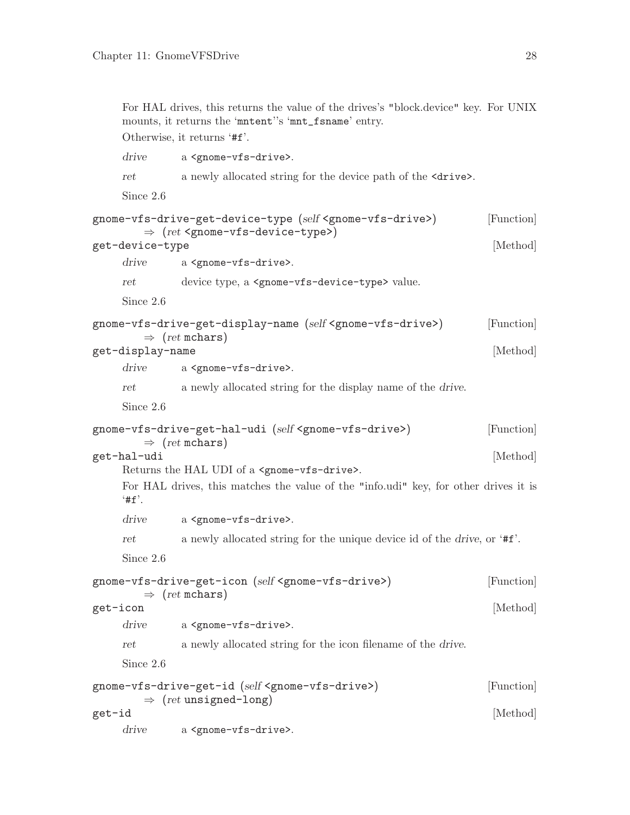<span id="page-30-0"></span>For HAL drives, this returns the value of the drives's "block.device" key. For UNIX mounts, it returns the 'mntent''s 'mnt\_fsname' entry.

Otherwise, it returns '#f'.

drive a <gnome-vfs-drive>. ret a newly allocated string for the device path of the  $\langle$ drive $\rangle$ . Since 2.6 gnome-vfs-drive-get-device-type (self <gnome-vfs-drive>) [Function]  $\Rightarrow$  (ret <gnome-vfs-device-type>) get-device-type [Method] drive a <gnome-vfs-drive>. ret device type, a <gnome-vfs-device-type> value. Since 2.6 gnome-vfs-drive-get-display-name (self <gnome-vfs-drive>) [Function]  $\Rightarrow$  (ret mchars) get-display-name [Method] drive a <gnome-vfs-drive>. ret a newly allocated string for the display name of the drive. Since 2.6 gnome-vfs-drive-get-hal-udi (self <gnome-vfs-drive>) [Function]  $\Rightarrow$  (ret mchars) get-hal-udi [Method] Returns the HAL UDI of a <gnome-vfs-drive>. For HAL drives, this matches the value of the "info.udi" key, for other drives it is  $'$ #f'. drive a <gnome-vfs-drive>. ret a newly allocated string for the unique device id of the drive, or '#f'. Since 2.6 gnome-vfs-drive-get-icon (self <gnome-vfs-drive>) [Function]  $\Rightarrow$  (ret mchars) get-icon [Method] drive a <gnome-vfs-drive>. ret a newly allocated string for the icon filename of the drive. Since 2.6 gnome-vfs-drive-get-id (self <gnome-vfs-drive>) [Function]  $\Rightarrow$  (ret unsigned-long)  $get-id$  [Method] drive a <gnome-vfs-drive>.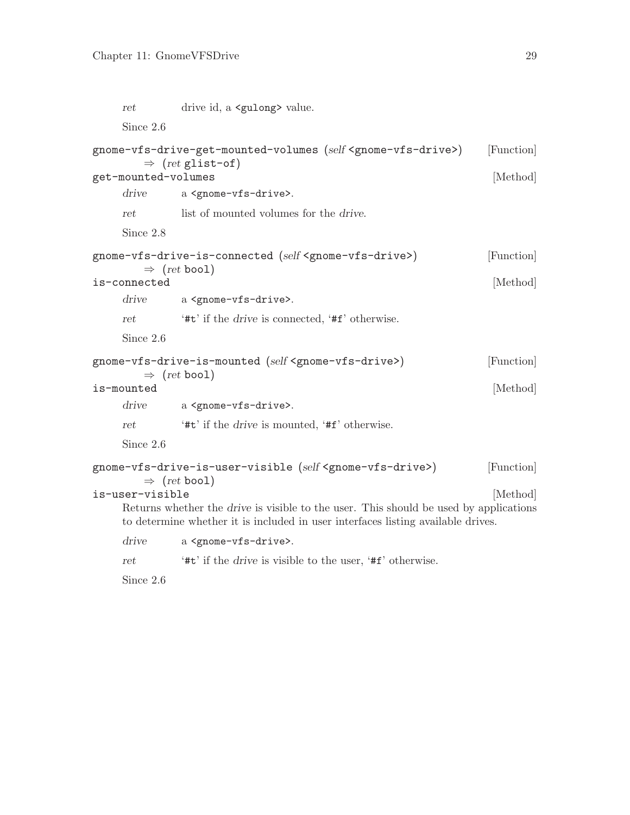<span id="page-31-0"></span>

| $_{\rm ret}$        | drive id, a <gulong> value.</gulong>                                                                                                                                             |                        |
|---------------------|----------------------------------------------------------------------------------------------------------------------------------------------------------------------------------|------------------------|
| Since 2.6           |                                                                                                                                                                                  |                        |
| get-mounted-volumes | gnome-vfs-drive-get-mounted-volumes (self <gnome-vfs-drive>)<br/><math>\Rightarrow</math> (ret glist-of)</gnome-vfs-drive>                                                       | [Function]<br>[Method] |
| drive               | a <gnome-vfs-drive>.</gnome-vfs-drive>                                                                                                                                           |                        |
| $_{ret}$            | list of mounted volumes for the <i>drive</i> .                                                                                                                                   |                        |
| Since 2.8           |                                                                                                                                                                                  |                        |
| is-connected        | gnome-vfs-drive-is-connected (self <gnome-vfs-drive>)<br/><math>\Rightarrow</math> (ret bool)</gnome-vfs-drive>                                                                  | [Function]<br>[Method] |
| drive               | a <gnome-vfs-drive>.</gnome-vfs-drive>                                                                                                                                           |                        |
| ret                 | '#t' if the <i>drive</i> is connected, '#f' otherwise.                                                                                                                           |                        |
| Since 2.6           |                                                                                                                                                                                  |                        |
| is-mounted          | gnome-vfs-drive-is-mounted (self <gnome-vfs-drive>)<br/><math>\Rightarrow</math> (ret bool)</gnome-vfs-drive>                                                                    | [Function]<br>[Method] |
| drive               | a <gnome-vfs-drive>.</gnome-vfs-drive>                                                                                                                                           |                        |
| ret                 | '#t' if the <i>drive</i> is mounted, '#f' otherwise.                                                                                                                             |                        |
| Since 2.6           |                                                                                                                                                                                  |                        |
|                     | gnome-vfs-drive-is-user-visible (self <gnome-vfs-drive>)<br/><math>\Rightarrow</math> (ret bool)</gnome-vfs-drive>                                                               | [Function]             |
| is-user-visible     | Returns whether the <i>drive</i> is visible to the user. This should be used by applications<br>to determine whether it is included in user interfaces listing available drives. | [Method]               |
| drive               | a <gnome-vfs-drive>.</gnome-vfs-drive>                                                                                                                                           |                        |
| ret                 | '#t' if the <i>drive</i> is visible to the user, '#f' otherwise.                                                                                                                 |                        |

Since 2.6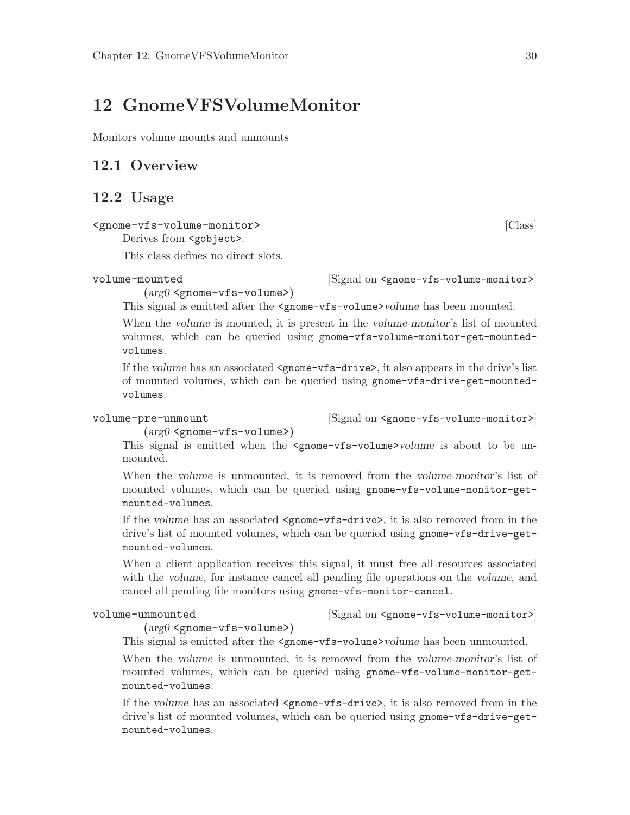## <span id="page-32-0"></span>12 GnomeVFSVolumeMonitor

Monitors volume mounts and unmounts

## 12.1 Overview

### 12.2 Usage

```
<gnome-vfs-volume-monitor> [Class]
```
Derives from **<gobject>**.

This class defines no direct slots.

 $(\arg\theta \leq \text{gnome-} \text{vfs-} \text{volume})$ 

volume-mounted  $\qquad \qquad$  [Signal on <gnome-vfs-volume-monitor>]

This signal is emitted after the  $\epsilon$ gnome-vfs-volume $\epsilon$  bolume has been mounted.

When the volume is mounted, it is present in the volume-monitor's list of mounted volumes, which can be queried using gnome-vfs-volume-monitor-get-mountedvolumes.

If the volume has an associated <gnome-vfs-drive>, it also appears in the drive's list of mounted volumes, which can be queried using gnome-vfs-drive-get-mountedvolumes.

volume-pre-unmount [Signal on <gnome-vfs-volume-monitor>]

### $(\text{arg}0 \leq \text{pname}-\text{vfs-volume}$ )

This signal is emitted when the  $\epsilon$ gnome-vfs-volume>volume is about to be unmounted.

When the volume is unmounted, it is removed from the volume-monitor's list of mounted volumes, which can be queried using gnome-vfs-volume-monitor-getmounted-volumes.

If the volume has an associated <gnome-vfs-drive>, it is also removed from in the drive's list of mounted volumes, which can be queried using gnome-vfs-drive-getmounted-volumes.

When a client application receives this signal, it must free all resources associated with the volume, for instance cancel all pending file operations on the volume, and cancel all pending file monitors using gnome-vfs-monitor-cancel.

volume-unmounted  $[\text{Signal on } \langle \text{gn} \rangle]$ 

 $(\text{arg}0 \leq \text{gnome-}vfs\text{-volume})$ 

This signal is emitted after the  $\epsilon$ gnome-vfs-volume >volume has been unmounted.

When the volume is unmounted, it is removed from the volume-monitor's list of mounted volumes, which can be queried using gnome-vfs-volume-monitor-getmounted-volumes.

If the volume has an associated <gnome-vfs-drive>, it is also removed from in the drive's list of mounted volumes, which can be queried using gnome-vfs-drive-getmounted-volumes.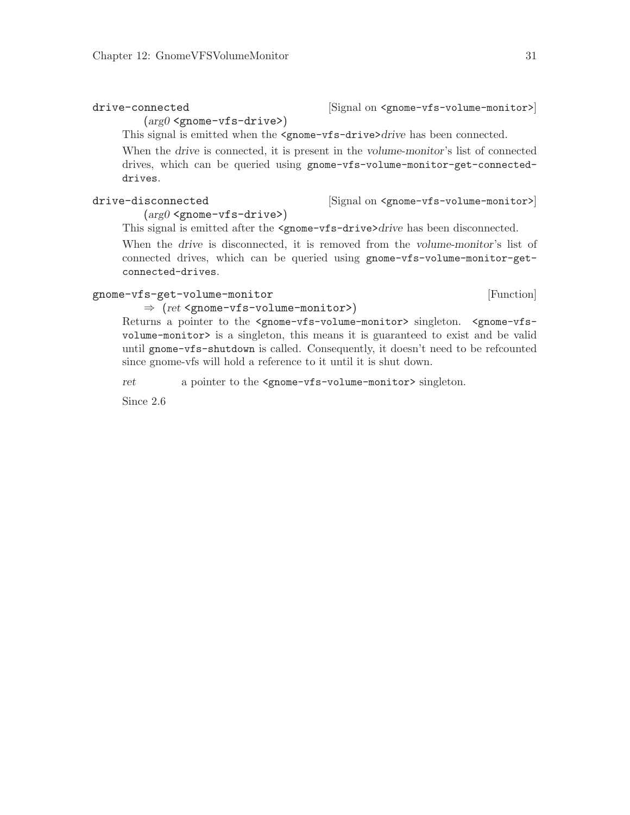$(arg0 \leq gnone-vfs-driven)$ 

<span id="page-33-0"></span>drive-connected  $[\text{Signal on } \langle \text{gnone-vfs-volume-monitor} \rangle]$ 

This signal is emitted when the <gnome-vfs-drive>drive has been connected.

When the drive is connected, it is present in the volume-monitor's list of connected drives, which can be queried using gnome-vfs-volume-monitor-get-connecteddrives.

drive-disconnected [Signal on <gnome-vfs-volume-monitor>]

 $(\arg\theta \leq \text{gnome}-\text{vfs}-\text{drive.})$ 

This signal is emitted after the  $\epsilon$ gnome-vfs-drive>drive has been disconnected.

When the drive is disconnected, it is removed from the volume-monitor's list of connected drives, which can be queried using gnome-vfs-volume-monitor-getconnected-drives.

### gnome-vfs-get-volume-monitor [Function]

### $\Rightarrow$  (ret <gnome-vfs-volume-monitor>)

Returns a pointer to the <gnome-vfs-volume-monitor> singleton. <gnome-vfsvolume-monitor> is a singleton, this means it is guaranteed to exist and be valid until gnome-vfs-shutdown is called. Consequently, it doesn't need to be refcounted since gnome-vfs will hold a reference to it until it is shut down.

ret a pointer to the <gnome-vfs-volume-monitor> singleton.

Since 2.6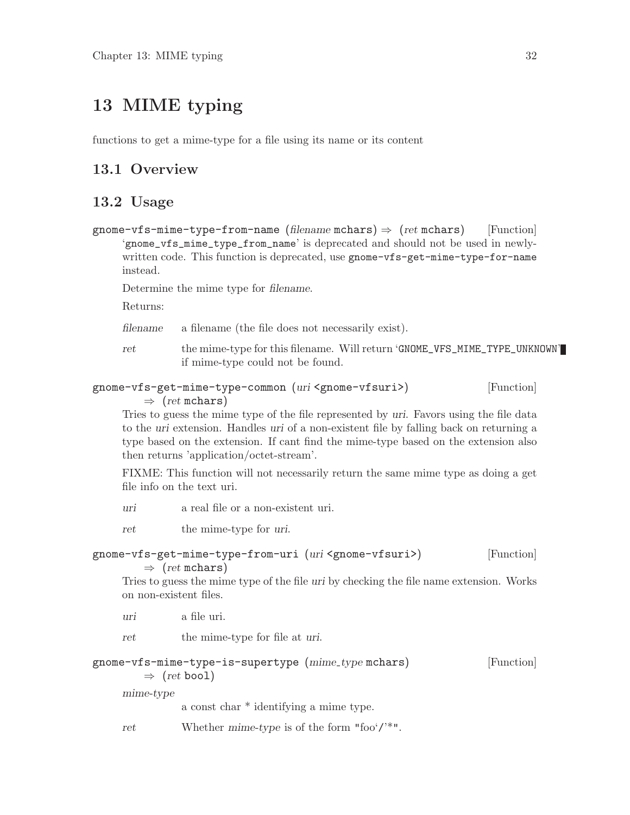## <span id="page-34-0"></span>13 MIME typing

functions to get a mime-type for a file using its name or its content

## 13.1 Overview

## 13.2 Usage

gnome-vfs-mime-type-from-name (filename mchars)  $\Rightarrow$  (ret mchars) [Function] 'gnome\_vfs\_mime\_type\_from\_name' is deprecated and should not be used in newlywritten code. This function is deprecated, use gnome-vfs-get-mime-type-for-name instead.

Determine the mime type for filename.

Returns:

filename a filename (the file does not necessarily exist).

ret the mime-type for this filename. Will return 'GNOME\_VFS\_MIME\_TYPE\_UNKNOWN' if mime-type could not be found.

### gnome-vfs-get-mime-type-common (uri <gnome-vfsuri>) [Function]  $\Rightarrow$  (ret mchars)

Tries to guess the mime type of the file represented by uri. Favors using the file data to the uri extension. Handles uri of a non-existent file by falling back on returning a type based on the extension. If cant find the mime-type based on the extension also then returns 'application/octet-stream'.

FIXME: This function will not necessarily return the same mime type as doing a get file info on the text uri.

uri a real file or a non-existent uri.

ret the mime-type for uri.

### gnome-vfs-get-mime-type-from-uri (uri <gnome-vfsuri>) [Function]  $\Rightarrow$  (ret mchars)

Tries to guess the mime type of the file uri by checking the file name extension. Works on non-existent files.

uri a file uri.

ret the mime-type for file at uri.

### gnome-vfs-mime-type-is-supertype (mime type mchars) [Function]

 $\Rightarrow$  (ret bool)

mime-type

a const char \* identifying a mime type.

ret Whether mime-type is of the form "foo'/'\*".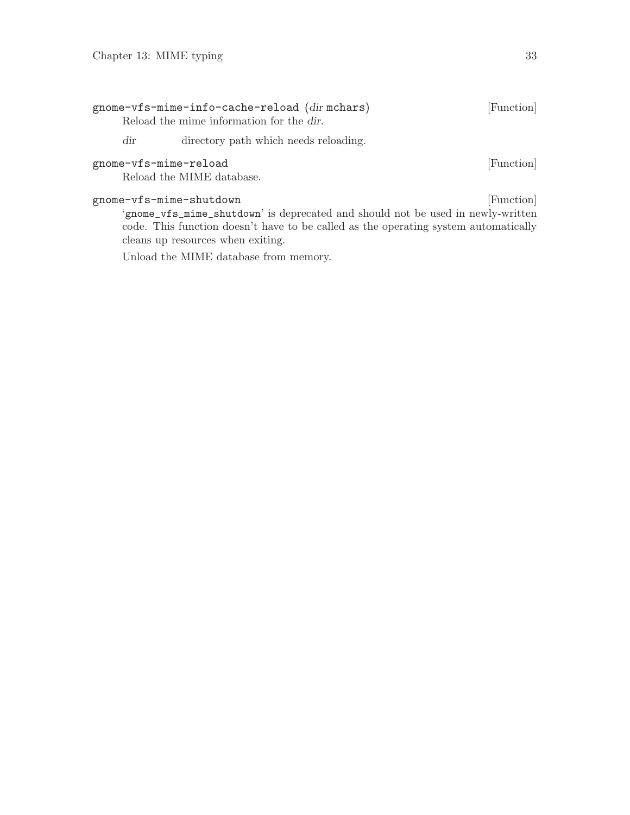<span id="page-35-0"></span>

|                       | gnome-vfs-mime-info-cache-reload (dirmchars)<br>Reload the mime information for the dir.                   | [Function] |
|-----------------------|------------------------------------------------------------------------------------------------------------|------------|
| $\rm dir$             | directory path which needs reloading.                                                                      |            |
| gnome-vfs-mime-reload | Reload the MIME database.                                                                                  | [Function] |
|                       | gnome-vfs-mime-shutdown<br>'gnome_vfs_mime_shutdown' is deprecated and should not be used in newly-written | [Function] |

code. This function doesn't have to be called as the operating system automatically cleans up resources when exiting.

Unload the MIME database from memory.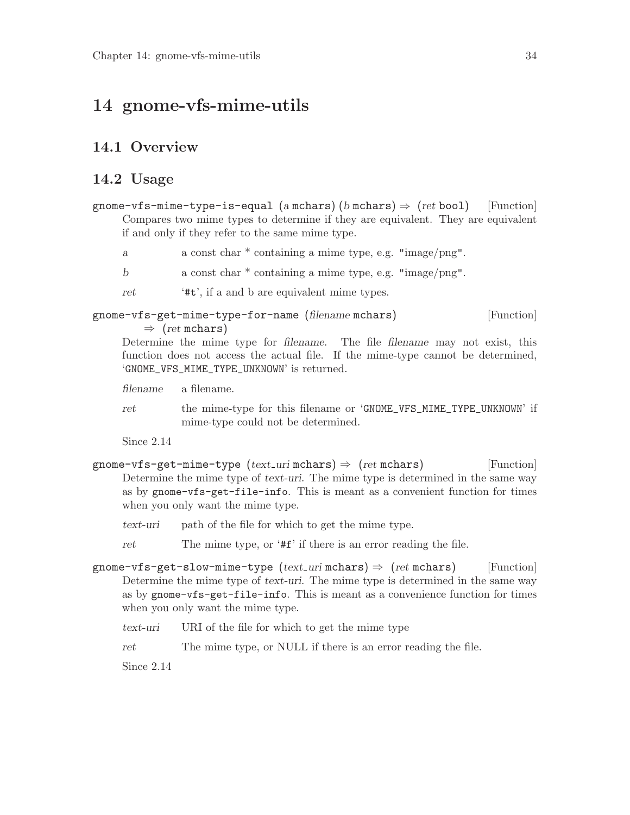## <span id="page-36-0"></span>14 gnome-vfs-mime-utils

## 14.1 Overview

### 14.2 Usage

- gnome-vfs-mime-type-is-equal (a mchars) (b mchars)  $\Rightarrow$  (ret bool) [Function] Compares two mime types to determine if they are equivalent. They are equivalent if and only if they refer to the same mime type.
	- a a const char \* containing a mime type, e.g. "image/png".
	- b a const char \* containing a mime type, e.g. "image/png".
	- ret '#t', if a and b are equivalent mime types.

### gnome-vfs-get-mime-type-for-name (filename mchars) [Function]  $\Rightarrow$  (ret mchars)

Determine the mime type for filename. The file filename may not exist, this function does not access the actual file. If the mime-type cannot be determined, 'GNOME\_VFS\_MIME\_TYPE\_UNKNOWN' is returned.

filename a filename.

ret the mime-type for this filename or 'GNOME\_VFS\_MIME\_TYPE\_UNKNOWN' if mime-type could not be determined.

Since 2.14

- gnome-vfs-get-mime-type  $(text\_uri \text{ mchars}) \Rightarrow (ret \text{ mchars})$  [Function] Determine the mime type of text-uri. The mime type is determined in the same way as by gnome-vfs-get-file-info. This is meant as a convenient function for times when you only want the mime type.
	- text-uri path of the file for which to get the mime type.
	- ret The mime type, or '#f' if there is an error reading the file.
- gnome-vfs-get-slow-mime-type  $(text_{\text{u}}\text{inf}\, \text{max}) \Rightarrow (ret \, \text{mchars})$  [Function] Determine the mime type of text-uri. The mime type is determined in the same way as by gnome-vfs-get-file-info. This is meant as a convenience function for times when you only want the mime type.
	- text-uri URI of the file for which to get the mime type
	- ret The mime type, or NULL if there is an error reading the file.

Since 2.14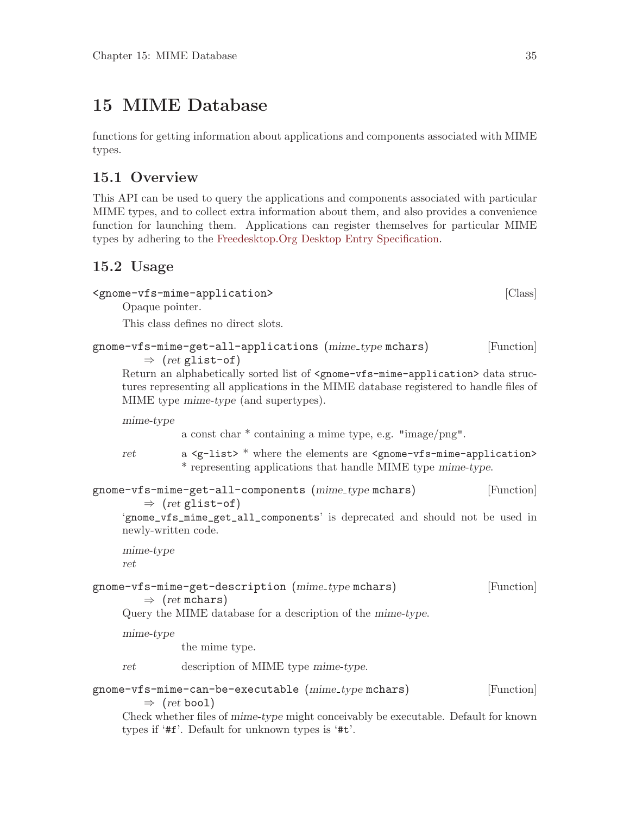## <span id="page-37-0"></span>15 MIME Database

functions for getting information about applications and components associated with MIME types.

## 15.1 Overview

This API can be used to query the applications and components associated with particular MIME types, and to collect extra information about them, and also provides a convenience function for launching them. Applications can register themselves for particular MIME types by adhering to the [Freedesktop.Org Desktop Entry Specification.](http://standards.freedesktop.org/desktop-entry-spec/latest)

## 15.2 Usage

```
<gnome-vfs-mime-application> [Class]
```
Opaque pointer.

This class defines no direct slots.

```
gnome-vfs-mime-get-all-applications (mime_type mchars) [Function]
        \Rightarrow (ret glist-of)
```

```
Return an alphabetically sorted list of <gnome-vfs-mime-application> data struc-
tures representing all applications in the MIME database registered to handle files of
MIME type mime-type (and supertypes).
```
mime-type

a const char \* containing a mime type, e.g. "image/png".

ret a <g-list> \* where the elements are <gnome-vfs-mime-application> \* representing applications that handle MIME type mime-type.

```
gnome-vfs-mime-get-all-components (mime_type mchars) [Function]
        \Rightarrow (ret glist-of)
```
'gnome\_vfs\_mime\_get\_all\_components' is deprecated and should not be used in newly-written code.

```
mime-type
ret
```
### gnome-vfs-mime-get-description (mime\_type mchars) [Function]  $\Rightarrow$  (ret mchars)

Query the MIME database for a description of the mime-type.

mime-type

the mime type.

ret description of MIME type mime-type.

### gnome-vfs-mime-can-be-executable (mime type mchars) [Function]  $\Rightarrow$  (ret bool)

Check whether files of mime-type might conceivably be executable. Default for known types if '#f'. Default for unknown types is '#t'.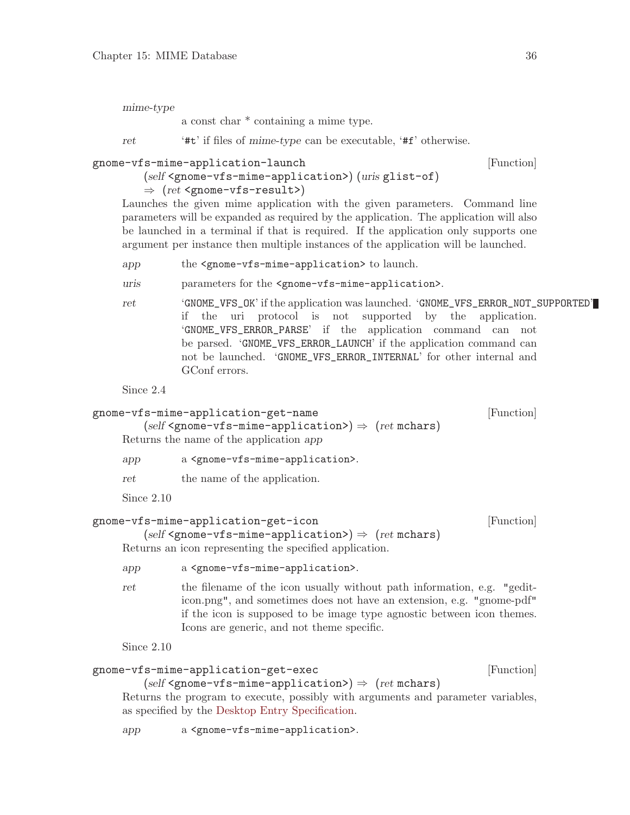<span id="page-38-0"></span>mime-type

a const char \* containing a mime type.

ret '#t' if files of mime-type can be executable, '#f' otherwise.

```
gnome-vfs-mime-application-launch [Function]
```

```
(self <gnome-vfs-mime-application>) (uris glist-of)
```
 $\Rightarrow$  (ret <gnome-vfs-result>)

Launches the given mime application with the given parameters. Command line parameters will be expanded as required by the application. The application will also be launched in a terminal if that is required. If the application only supports one argument per instance then multiple instances of the application will be launched.

- app the <gnome-vfs-mime-application> to launch.
- uris parameters for the <gnome-vfs-mime-application>.
- ret 'GNOME\_VFS\_OK' if the application was launched. 'GNOME\_VFS\_ERROR\_NOT\_SUPPORTED' if the uri protocol is not supported by the application. 'GNOME\_VFS\_ERROR\_PARSE' if the application command can not be parsed. 'GNOME\_VFS\_ERROR\_LAUNCH' if the application command can not be launched. 'GNOME\_VFS\_ERROR\_INTERNAL' for other internal and GConf errors.

Since 2.4

```
gnome-vfs-mime-application-get-name [Function]
        (self \leq from e \leq v \leq -m \leq -application) \Rightarrow (ret \text{ mchars})Returns the name of the application app
     app a <gnome-vfs-mime-application>.
     ret the name of the application.
     Since 2.10
```

```
gnome-vfs-mime-application-get-icon [Function]
```
Returns an icon representing the specified application.

 $(self \leq \text{pname-wise-min}$ -application> $) \Rightarrow (ret \text{ mchars})$ 

```
app a <gnome-vfs-mime-application>.
```
ret the filename of the icon usually without path information, e.g. "gediticon.png", and sometimes does not have an extension, e.g. "gnome-pdf" if the icon is supposed to be image type agnostic between icon themes. Icons are generic, and not theme specific.

Since 2.10

### gnome-vfs-mime-application-get-exec [Function]

```
(self \leq p\leq \text{where} \leq \text{min} \leq \text{approx}(p) \implies (ret \text{ mchars})
```
Returns the program to execute, possibly with arguments and parameter variables, as specified by the [Desktop Entry Specification](http://standards.freedesktop.org/desktop-entry-spec/).

app a <gnome-vfs-mime-application>.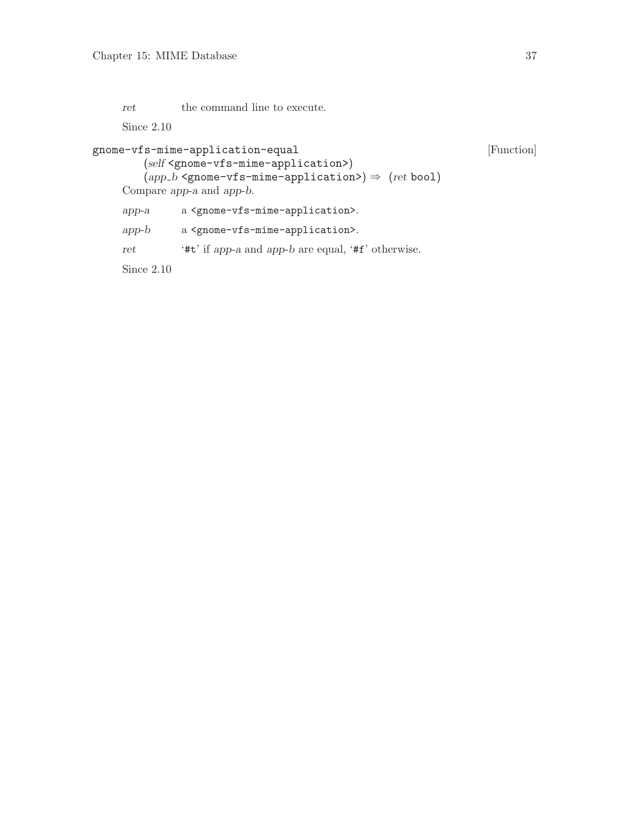<span id="page-39-0"></span>ret the command line to execute.

Since 2.10

```
gnome-vfs-mime-application-equal [Function]
       (self <gnome-vfs-mime-application>)
       (app.b <gnome-vfs-mime-application>) \Rightarrow (ret bool)
    Compare app-a and app-b.
    app-a a <gnome-vfs-mime-application>.
    app-b a <gnome-vfs-mime-application>.
    ret '#t' if app-a and app-b are equal, '#f' otherwise.
    Since 2.10
```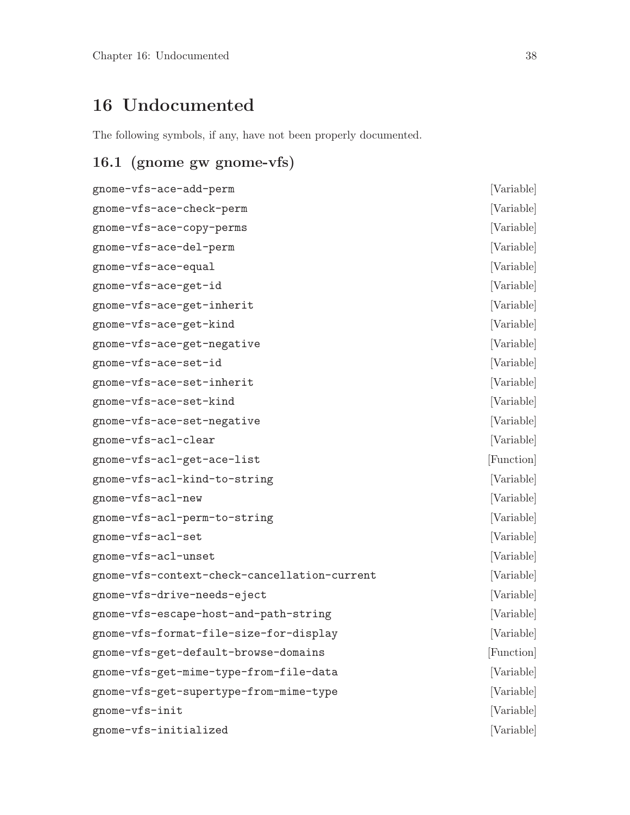# <span id="page-40-0"></span>16 Undocumented

The following symbols, if any, have not been properly documented.

## 16.1 (gnome gw gnome-vfs)

| gnome-vfs-ace-add-perm                       | [Variable] |
|----------------------------------------------|------------|
| gnome-vfs-ace-check-perm                     | [Variable] |
| gnome-vfs-ace-copy-perms                     | [Variable] |
| gnome-vfs-ace-del-perm                       | [Variable] |
| gnome-vfs-ace-equal                          | [Variable] |
| gnome-vfs-ace-get-id                         | [Variable] |
| gnome-vfs-ace-get-inherit                    | [Variable] |
| gnome-vfs-ace-get-kind                       | [Variable] |
| gnome-vfs-ace-get-negative                   | [Variable] |
| gnome-vfs-ace-set-id                         | [Variable] |
| gnome-vfs-ace-set-inherit                    | [Variable] |
| gnome-vfs-ace-set-kind                       | [Variable] |
| gnome-vfs-ace-set-negative                   | [Variable] |
| gnome-vfs-acl-clear                          | [Variable] |
| gnome-vfs-acl-get-ace-list                   | [Function] |
| gnome-vfs-acl-kind-to-string                 | [Variable] |
| gnome-vfs-acl-new                            | [Variable] |
| gnome-vfs-acl-perm-to-string                 | [Variable] |
| gnome-vfs-acl-set                            | [Variable] |
| gnome-vfs-acl-unset                          | [Variable] |
| gnome-vfs-context-check-cancellation-current | [Variable] |
| gnome-vfs-drive-needs-eject                  | [Variable] |
| gnome-vfs-escape-host-and-path-string        | [Variable] |
| gnome-vfs-format-file-size-for-display       | [Variable] |
| gnome-vfs-get-default-browse-domains         | [Function] |
| gnome-vfs-get-mime-type-from-file-data       | [Variable] |
| gnome-vfs-get-supertype-from-mime-type       | [Variable] |
| gnome-vfs-init                               | [Variable] |
| gnome-vfs-initialized                        | [Variable] |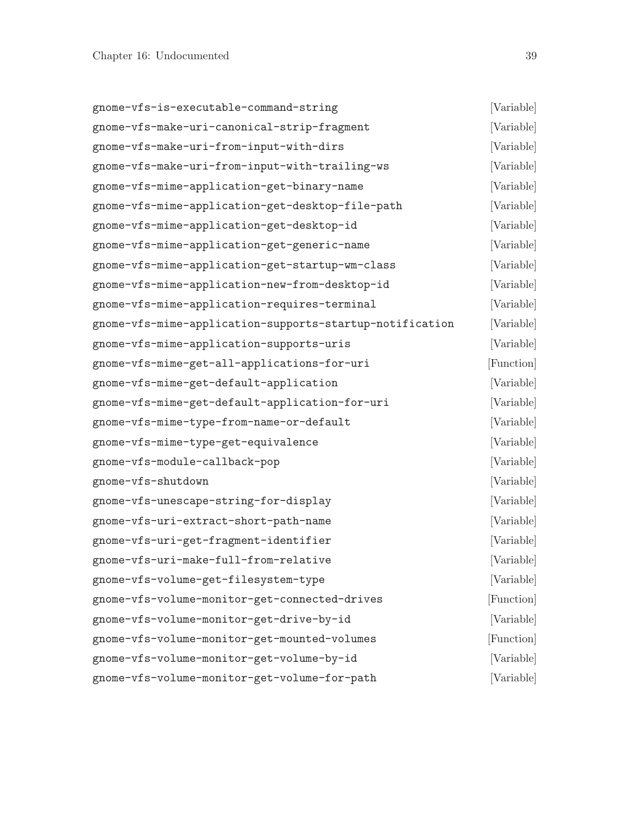<span id="page-41-0"></span>

| gnome-vfs-is-executable-command-string                   | [Variable] |
|----------------------------------------------------------|------------|
| gnome-vfs-make-uri-canonical-strip-fragment              | [Variable] |
| gnome-vfs-make-uri-from-input-with-dirs                  | [Variable] |
| gnome-vfs-make-uri-from-input-with-trailing-ws           | [Variable] |
| gnome-vfs-mime-application-get-binary-name               | [Variable] |
| gnome-vfs-mime-application-get-desktop-file-path         | [Variable] |
| gnome-vfs-mime-application-get-desktop-id                | [Variable] |
| gnome-vfs-mime-application-get-generic-name              | [Variable] |
| gnome-vfs-mime-application-get-startup-wm-class          | [Variable] |
| gnome-vfs-mime-application-new-from-desktop-id           | [Variable] |
| gnome-vfs-mime-application-requires-terminal             | [Variable] |
| gnome-vfs-mime-application-supports-startup-notification | [Variable] |
| gnome-vfs-mime-application-supports-uris                 | [Variable] |
| gnome-vfs-mime-get-all-applications-for-uri              | [Function] |
| gnome-vfs-mime-get-default-application                   | [Variable] |
| gnome-vfs-mime-get-default-application-for-uri           | [Variable] |
| gnome-vfs-mime-type-from-name-or-default                 | [Variable] |
| gnome-vfs-mime-type-get-equivalence                      | [Variable] |
| gnome-vfs-module-callback-pop                            | [Variable] |
| gnome-vfs-shutdown                                       | [Variable] |
| gnome-vfs-unescape-string-for-display                    | [Variable] |
| gnome-vfs-uri-extract-short-path-name                    | [Variable] |
| gnome-vfs-uri-get-fragment-identifier                    | [Variable] |
| gnome-vfs-uri-make-full-from-relative                    | [Variable] |
| gnome-vfs-volume-get-filesystem-type                     | [Variable] |
| gnome-vfs-volume-monitor-get-connected-drives            | [Function] |
| gnome-vfs-volume-monitor-get-drive-by-id                 | [Variable] |
| gnome-vfs-volume-monitor-get-mounted-volumes             | [Function] |
| gnome-vfs-volume-monitor-get-volume-by-id                | [Variable] |
| gnome-vfs-volume-monitor-get-volume-for-path             | [Variable] |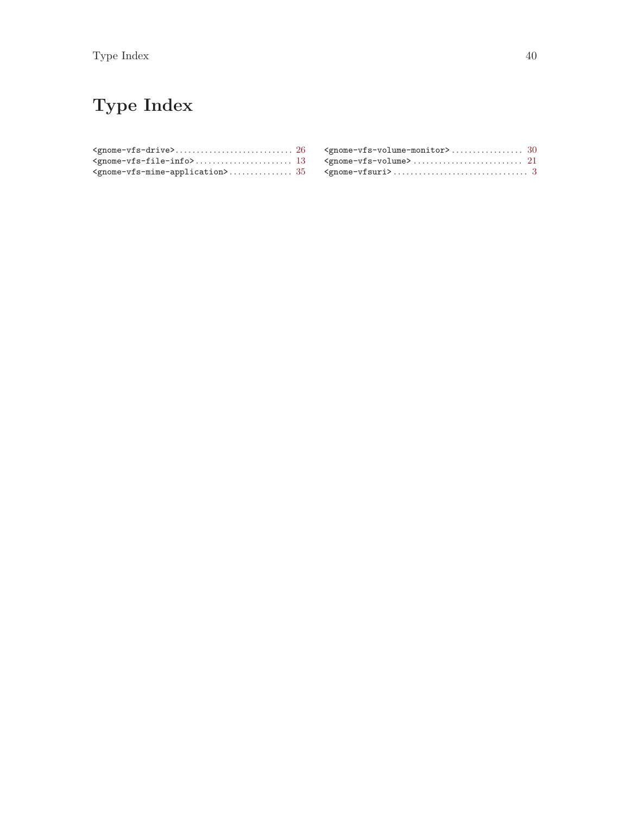# <span id="page-42-0"></span>Type Index

| $\verb < ^gnone-vfs-volume\rangle   \dots  \dots  \dots  \dots  \dots  \dots  \dots   21$ |  |
|-------------------------------------------------------------------------------------------|--|
|                                                                                           |  |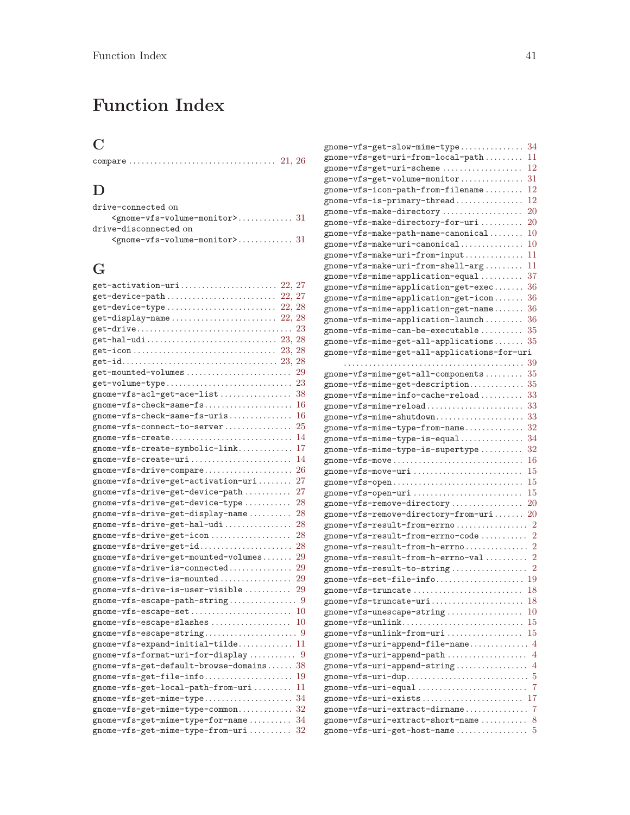# <span id="page-43-0"></span>Function Index

## C

## D

| drive-connected on                  |  |
|-------------------------------------|--|
| $\zeta$ gnome-vfs-volume-monitor>31 |  |
| drive-disconnected on               |  |
| $\zeta$ gnome-vfs-volume-monitor>31 |  |

## G

| get-activation-uri 22, 27                                                                         |        |
|---------------------------------------------------------------------------------------------------|--------|
| ${\tt get\text{-}device\text{-}path}\dots\dots\dots\dots\dots\dots\dots\dots\dots\dots$<br>22, 27 |        |
| get-device-type                                                                                   | 22, 28 |
|                                                                                                   | 22, 28 |
| $get-driven \dots 1$                                                                              | 23     |
|                                                                                                   |        |
|                                                                                                   |        |
|                                                                                                   |        |
| get-mounted-volumes                                                                               | 29     |
|                                                                                                   |        |
|                                                                                                   | 38     |
| gnome-vfs-check-same-fs                                                                           | 16     |
| gnome-vfs-check-same-fs-uris                                                                      | 16     |
| gnome-vfs-connect-to-server                                                                       | 25     |
| gnome-vfs-create                                                                                  | 14     |
| gnome-vfs-create-symbolic-link                                                                    | 17     |
| gnome-vfs-create-uri                                                                              | 14     |
| gnome-vfs-drive-compare                                                                           | 26     |
| gnome-vfs-drive-get-activation-uri                                                                | 27     |
| gnome-vfs-drive-get-device-path                                                                   | 27     |
| gnome-vfs-drive-get-device-type                                                                   | 28     |
| gnome-vfs-drive-get-display-name                                                                  | 28     |
| gnome-vfs-drive-get-hal-udi                                                                       | 28     |
| gnome-vfs-drive-get-icon                                                                          | 28     |
| gnome-vfs-drive-get-id                                                                            | 28     |
| gnome-vfs-drive-get-mounted-volumes                                                               | 29     |
| gnome-vfs-drive-is-connected                                                                      | 29     |
| gnome-vfs-drive-is-mounted                                                                        | 29     |
| gnome-vfs-drive-is-user-visible                                                                   | 29     |
|                                                                                                   |        |
| gnome-vfs-escape-set                                                                              | 10     |
| gnome-vfs-escape-slashes                                                                          | 10     |
|                                                                                                   |        |
| gnome-vfs-expand-initial-tilde 11                                                                 |        |
| gnome-vfs-format-uri-for-display 9                                                                |        |
| gnome-vfs-get-default-browse-domains 38                                                           |        |
|                                                                                                   |        |
| gnome-vfs-get-local-path-from-uri                                                                 | 11     |
|                                                                                                   | 34     |
| gnome-vfs-get-mime-type-common                                                                    | 32     |
| gnome-vfs-get-mime-type-for-name                                                                  | 34     |
| gnome-vfs-get-mime-type-from-uri                                                                  | 32     |

| gnome-vfs-get-slow-mime-type                                                    | 34                  |
|---------------------------------------------------------------------------------|---------------------|
| gnome-vfs-get-uri-from-local-path                                               | 11                  |
| gnome-vfs-get-uri-scheme                                                        | 12                  |
| gnome-vfs-get-volume-monitor                                                    | 31                  |
| gnome-vfs-icon-path-from-filename                                               | 12                  |
| gnome-vfs-is-primary-thread                                                     | 12                  |
| gnome-vfs-make-directory                                                        | 20                  |
| gnome-vfs-make-directory-for-uri                                                | $\rm 20$            |
| gnome-vfs-make-path-name-canonical                                              | $10\,$              |
| gnome-vfs-make-uri-canonical                                                    | 10                  |
| gnome-vfs-make-uri-from-input                                                   | 11                  |
| gnome-vfs-make-uri-from-shell-arg                                               | 11                  |
| gnome-vfs-mime-application-equal                                                | 37                  |
| gnome-vfs-mime-application-get-exec                                             | 36                  |
| gnome-vfs-mime-application-get-icon                                             | 36                  |
| gnome-vfs-mime-application-get-name                                             | 36                  |
| gnome-vfs-mime-application-launch                                               | 36                  |
| gnome-vfs-mime-can-be-executable                                                | 35                  |
| gnome-vfs-mime-get-all-applications                                             | 35                  |
| gnome-vfs-mime-get-all-applications-for-uri                                     |                     |
|                                                                                 | 39                  |
| gnome-vfs-mime-get-all-components                                               | 35                  |
| gnome-vfs-mime-get-description $35$                                             |                     |
| gnome-vfs-mime-info-cache-reload                                                | 33                  |
| gnome-vfs-mime-reload                                                           | 33                  |
| gnome-vfs-mime-shutdown                                                         | 33                  |
| gnome-vfs-mime-type-from-name                                                   | 32                  |
|                                                                                 | 34                  |
| gnome-vfs-mime-type-is-supertype                                                | $^{\rm 32}$         |
| $gnome-vfs-move \ldots \ldots \ldots \ldots \ldots \ldots \ldots \ldots \ldots$ | 16                  |
| $gnome-vfs-move-uri \ldots \ldots \ldots \ldots \ldots \ldots \ldots$           | 15                  |
| $gnome-vfs-open \dots \dots \dots \dots \dots \dots \dots \dots \dots \dots$    | 15                  |
|                                                                                 | 15                  |
| gnome-vfs-remove-directory                                                      | 20                  |
| gnome-vfs-remove-directory-from-uri                                             | 20                  |
| gnome-vfs-result-from-errno                                                     | 2<br>$\overline{2}$ |
| gnome-vfs-result-from-errno-code                                                | $\overline{2}$      |
| gnome-vfs-result-from-h-errno                                                   | 2                   |
| gnome-vfs-result-from-h-errno-val                                               | $\overline{2}$      |
| gnome-vfs-set-file-info                                                         | 19                  |
| gnome-vfs-truncate                                                              | 18                  |
|                                                                                 |                     |
| $gnome-vfs$ -unescape-string                                                    | 10                  |
|                                                                                 | 15                  |
| gnome-vfs-unlink-from-uri                                                       | 15                  |
| gnome-vfs-uri-append-file-name                                                  | 4                   |
| gnome-vfs-uri-append-path                                                       | 4                   |
| gnome-vfs-uri-append-string                                                     | 4                   |
| gnome-vfs-uri-dup                                                               | 5                   |
|                                                                                 | 7                   |
| gnome-vfs-uri-exists                                                            | 17                  |
| gnome-vfs-uri-extract-dirname                                                   | 7                   |
| gnome-vfs-uri-extract-short-name                                                | 8                   |
| $\verb gnome-vfs-uri-get-host-name\dots\dots\dots$                              | 5                   |
|                                                                                 |                     |